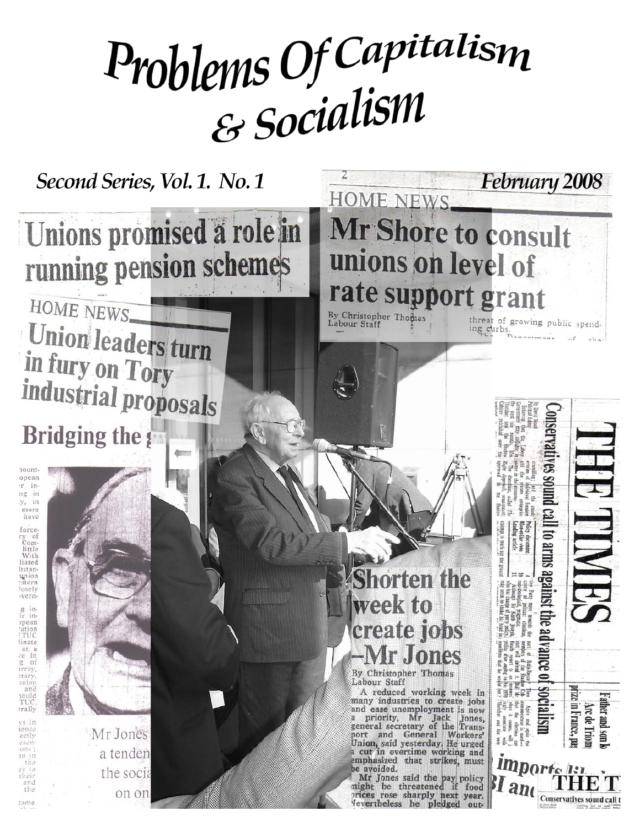# Problems Of Capitalism

Second Series, Vol. 1. No. 1

Unions promised a role in running pension schemes

HOME NEWS **Union leaders turn** in fury on Tory industrial proposals **Bridging the g** 

10untopean r in ng in  $y_i$  in more have forcery of<br>Com-<br>little With liated bstanunion<br>:stern losely verng in-<br>ir inpean<br>ation TUC linate at a<br>*c*e in<br>g of<br>urray,<br>tary, inioj<br>and TH vs in ience ectly 05011  $200$ 311 in the their the rame



Mr Jones a tenden the socia on on



norten the week to create jobs Ir Jones

HMH

prize in France, pa

Arc de Triom ther and son

Conservatives sound call t

II to arms against the a

mpt to mark out the

accumen<br>ollar vete<br>ng article

出量

*impor* 

 $ll$ and

By Christopher Thomas Labour Staff

A reduced working week in many industries to create jobs<br>and ease unemployment is now a priority, Mr Jack Jones,<br>general secretary of the Transport and General Workers' Union, said yesterday. He urged a cut in overtime working and emphasized that strikes, must be avoided.

Mr Jones said the pay policy<br>might be threatened if food food prices rose sharply next year. levertheless he pledged out-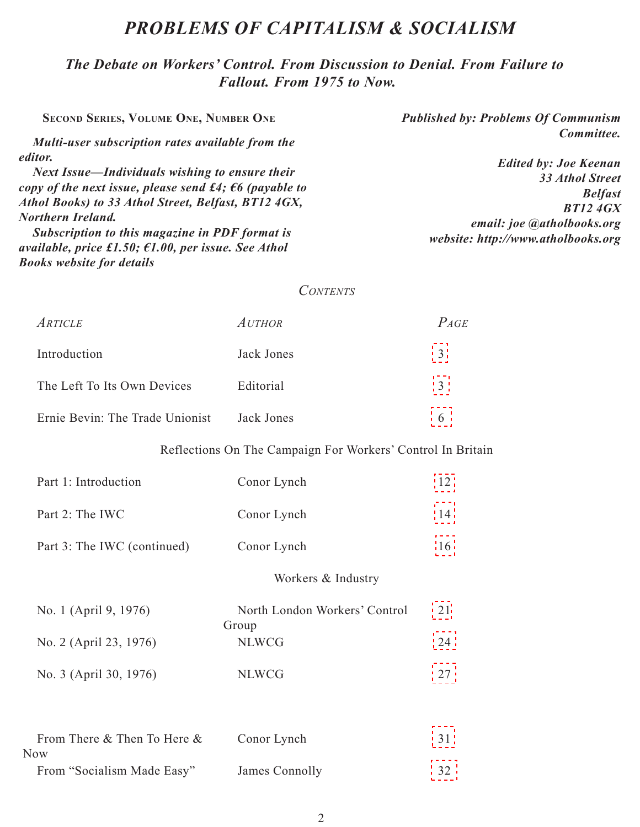## *Problems of Capitalism & Socialism*

*The Debate on Workers' Control. From Discussion to Denial. From Failure to Fallout. From 1975 to Now.*

**Second Series, Volume One, Number One** *Published by: Problems Of Communism Committee. Edited by: Joe Keenan 33 Athol Street Belfast BT12 4GX email: joe @atholbooks.org website: http://www.atholbooks.org Multi-user subscription rates available from the editor. Next Issue—Individuals wishing to ensure their copy of the next issue, please send £4; €6 (payable to Athol Books) to 33 Athol Street, Belfast, BT12 4GX, Northern Ireland. Subscription to this magazine in PDF format is available, price £1.50; €1.00, per issue. See Athol* 

#### *Contents*

| <i>Article</i>                  | <i>Author</i> | $P_{AGE}$ |
|---------------------------------|---------------|-----------|
| Introduction                    | Jack Jones    |           |
| The Left To Its Own Devices     | Editorial     |           |
| Ernie Bevin: The Trade Unionist | Jack Jones    |           |

*Books website for details*

#### Reflections On The Campaign For Workers' Control In Britain

| Part 1: Introduction               | Conor Lynch                            | 12 |
|------------------------------------|----------------------------------------|----|
| Part 2: The IWC                    | Conor Lynch                            | 14 |
| Part 3: The IWC (continued)        | Conor Lynch                            | 16 |
|                                    | Workers & Industry                     |    |
| No. 1 (April 9, 1976)              | North London Workers' Control<br>Group | 21 |
| No. 2 (April 23, 1976)             | <b>NLWCG</b>                           | 24 |
| No. 3 (April 30, 1976)             | <b>NLWCG</b>                           | 27 |
|                                    |                                        |    |
| From There & Then To Here &<br>Now | Conor Lynch                            | 31 |
| From "Socialism Made Easy"         | James Connolly                         | 32 |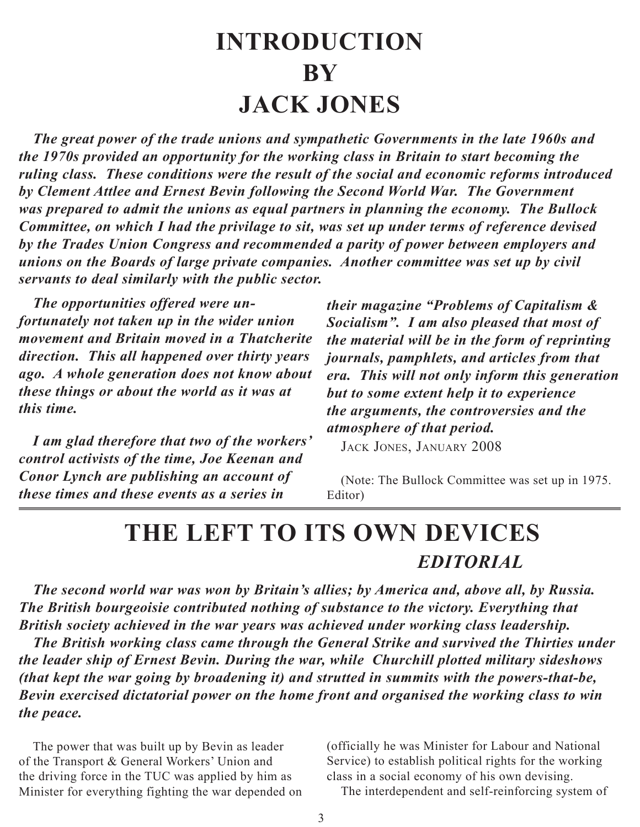# **Introduction by Jack Jones**

<span id="page-2-0"></span>*The great power of the trade unions and sympathetic Governments in the late 1960s and the 1970s provided an opportunity for the working class in Britain to start becoming the ruling class. These conditions were the result of the social and economic reforms introduced by Clement Attlee and Ernest Bevin following the Second World War. The Government was prepared to admit the unions as equal partners in planning the economy. The Bullock Committee, on which I had the privilage to sit, was set up under terms of reference devised by the Trades Union Congress and recommended a parity of power between employers and unions on the Boards of large private companies. Another committee was set up by civil servants to deal similarly with the public sector.*

*The opportunities offered were unfortunately not taken up in the wider union movement and Britain moved in a Thatcherite direction. This all happened over thirty years ago. A whole generation does not know about these things or about the world as it was at this time.*

*I am glad therefore that two of the workers' control activists of the time, Joe Keenan and Conor Lynch are publishing an account of these times and these events as a series in* 

*their magazine "Problems of Capitalism & Socialism". I am also pleased that most of the material will be in the form of reprinting journals, pamphlets, and articles from that era. This will not only inform this generation but to some extent help it to experience the arguments, the controversies and the atmosphere of that period.*

Jack Jones, January 2008

(Note: The Bullock Committee was set up in 1975. Editor)

## **The Left To Its Own Devices** *Editorial*

*The second world war was won by Britain's allies; by America and, above all, by Russia. The British bourgeoisie contributed nothing of substance to the victory. Everything that British society achieved in the war years was achieved under working class leadership.*

*The British working class came through the General Strike and survived the Thirties under the leader ship of Ernest Bevin. During the war, while Churchill plotted military sideshows (that kept the war going by broadening it) and strutted in summits with the powers-that-be, Bevin exercised dictatorial power on the home front and organised the working class to win the peace.*

The power that was built up by Bevin as leader of the Transport & General Workers' Union and the driving force in the TUC was applied by him as Minister for everything fighting the war depended on (officially he was Minister for Labour and National Service) to establish political rights for the working class in a social economy of his own devising.

The interdependent and self-reinforcing system of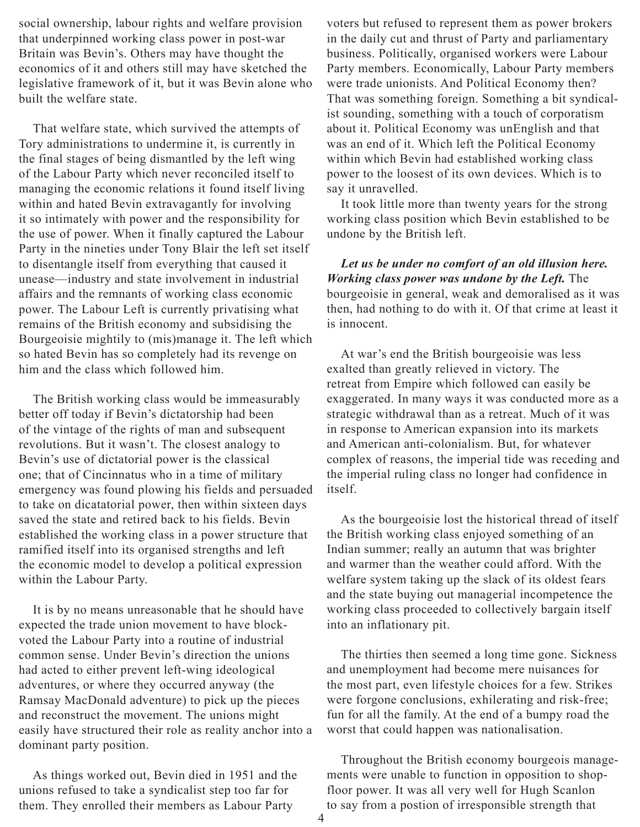social ownership, labour rights and welfare provision that underpinned working class power in post-war Britain was Bevin's. Others may have thought the economics of it and others still may have sketched the legislative framework of it, but it was Bevin alone who built the welfare state.

That welfare state, which survived the attempts of Tory administrations to undermine it, is currently in the final stages of being dismantled by the left wing of the Labour Party which never reconciled itself to managing the economic relations it found itself living within and hated Bevin extravagantly for involving it so intimately with power and the responsibility for the use of power. When it finally captured the Labour Party in the nineties under Tony Blair the left set itself to disentangle itself from everything that caused it unease—industry and state involvement in industrial affairs and the remnants of working class economic power. The Labour Left is currently privatising what remains of the British economy and subsidising the Bourgeoisie mightily to (mis)manage it. The left which so hated Bevin has so completely had its revenge on him and the class which followed him.

The British working class would be immeasurably better off today if Bevin's dictatorship had been of the vintage of the rights of man and subsequent revolutions. But it wasn't. The closest analogy to Bevin's use of dictatorial power is the classical one; that of Cincinnatus who in a time of military emergency was found plowing his fields and persuaded to take on dicatatorial power, then within sixteen days saved the state and retired back to his fields. Bevin established the working class in a power structure that ramified itself into its organised strengths and left the economic model to develop a political expression within the Labour Party.

It is by no means unreasonable that he should have expected the trade union movement to have blockvoted the Labour Party into a routine of industrial common sense. Under Bevin's direction the unions had acted to either prevent left-wing ideological adventures, or where they occurred anyway (the Ramsay MacDonald adventure) to pick up the pieces and reconstruct the movement. The unions might easily have structured their role as reality anchor into a dominant party position.

As things worked out, Bevin died in 1951 and the unions refused to take a syndicalist step too far for them. They enrolled their members as Labour Party

voters but refused to represent them as power brokers in the daily cut and thrust of Party and parliamentary business. Politically, organised workers were Labour Party members. Economically, Labour Party members were trade unionists. And Political Economy then? That was something foreign. Something a bit syndicalist sounding, something with a touch of corporatism about it. Political Economy was unEnglish and that was an end of it. Which left the Political Economy within which Bevin had established working class power to the loosest of its own devices. Which is to say it unravelled.

It took little more than twenty years for the strong working class position which Bevin established to be undone by the British left.

*Let us be under no comfort of an old illusion here. Working class power was undone by the Left.* The bourgeoisie in general, weak and demoralised as it was then, had nothing to do with it. Of that crime at least it is innocent.

At war's end the British bourgeoisie was less exalted than greatly relieved in victory. The retreat from Empire which followed can easily be exaggerated. In many ways it was conducted more as a strategic withdrawal than as a retreat. Much of it was in response to American expansion into its markets and American anti-colonialism. But, for whatever complex of reasons, the imperial tide was receding and the imperial ruling class no longer had confidence in itself.

As the bourgeoisie lost the historical thread of itself the British working class enjoyed something of an Indian summer; really an autumn that was brighter and warmer than the weather could afford. With the welfare system taking up the slack of its oldest fears and the state buying out managerial incompetence the working class proceeded to collectively bargain itself into an inflationary pit.

The thirties then seemed a long time gone. Sickness and unemployment had become mere nuisances for the most part, even lifestyle choices for a few. Strikes were forgone conclusions, exhilerating and risk-free; fun for all the family. At the end of a bumpy road the worst that could happen was nationalisation.

Throughout the British economy bourgeois managements were unable to function in opposition to shopfloor power. It was all very well for Hugh Scanlon to say from a postion of irresponsible strength that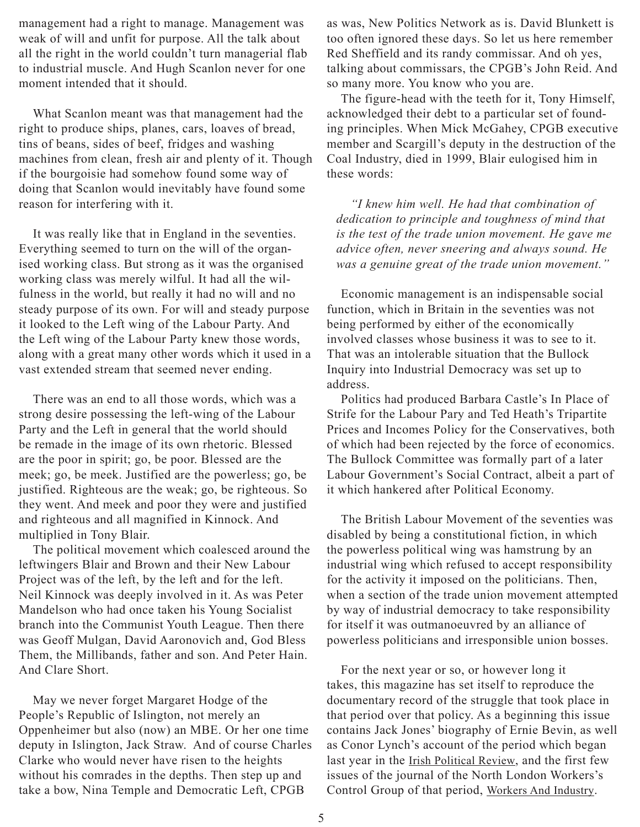management had a right to manage. Management was weak of will and unfit for purpose. All the talk about all the right in the world couldn't turn managerial flab to industrial muscle. And Hugh Scanlon never for one moment intended that it should.

What Scanlon meant was that management had the right to produce ships, planes, cars, loaves of bread, tins of beans, sides of beef, fridges and washing machines from clean, fresh air and plenty of it. Though if the bourgoisie had somehow found some way of doing that Scanlon would inevitably have found some reason for interfering with it.

It was really like that in England in the seventies. Everything seemed to turn on the will of the organised working class. But strong as it was the organised working class was merely wilful. It had all the wilfulness in the world, but really it had no will and no steady purpose of its own. For will and steady purpose it looked to the Left wing of the Labour Party. And the Left wing of the Labour Party knew those words, along with a great many other words which it used in a vast extended stream that seemed never ending.

There was an end to all those words, which was a strong desire possessing the left-wing of the Labour Party and the Left in general that the world should be remade in the image of its own rhetoric. Blessed are the poor in spirit; go, be poor. Blessed are the meek; go, be meek. Justified are the powerless; go, be justified. Righteous are the weak; go, be righteous. So they went. And meek and poor they were and justified and righteous and all magnified in Kinnock. And multiplied in Tony Blair.

The political movement which coalesced around the leftwingers Blair and Brown and their New Labour Project was of the left, by the left and for the left. Neil Kinnock was deeply involved in it. As was Peter Mandelson who had once taken his Young Socialist branch into the Communist Youth League. Then there was Geoff Mulgan, David Aaronovich and, God Bless Them, the Millibands, father and son. And Peter Hain. And Clare Short.

May we never forget Margaret Hodge of the People's Republic of Islington, not merely an Oppenheimer but also (now) an MBE. Or her one time deputy in Islington, Jack Straw. And of course Charles Clarke who would never have risen to the heights without his comrades in the depths. Then step up and take a bow, Nina Temple and Democratic Left, CPGB

as was, New Politics Network as is. David Blunkett is too often ignored these days. So let us here remember Red Sheffield and its randy commissar. And oh yes, talking about commissars, the CPGB's John Reid. And so many more. You know who you are.

The figure-head with the teeth for it, Tony Himself, acknowledged their debt to a particular set of founding principles. When Mick McGahey, CPGB executive member and Scargill's deputy in the destruction of the Coal Industry, died in 1999, Blair eulogised him in these words:

*"I knew him well. He had that combination of dedication to principle and toughness of mind that is the test of the trade union movement. He gave me advice often, never sneering and always sound. He was a genuine great of the trade union movement."*

Economic management is an indispensable social function, which in Britain in the seventies was not being performed by either of the economically involved classes whose business it was to see to it. That was an intolerable situation that the Bullock Inquiry into Industrial Democracy was set up to address.

Politics had produced Barbara Castle's In Place of Strife for the Labour Pary and Ted Heath's Tripartite Prices and Incomes Policy for the Conservatives, both of which had been rejected by the force of economics. The Bullock Committee was formally part of a later Labour Government's Social Contract, albeit a part of it which hankered after Political Economy.

The British Labour Movement of the seventies was disabled by being a constitutional fiction, in which the powerless political wing was hamstrung by an industrial wing which refused to accept responsibility for the activity it imposed on the politicians. Then, when a section of the trade union movement attempted by way of industrial democracy to take responsibility for itself it was outmanoeuvred by an alliance of powerless politicians and irresponsible union bosses.

For the next year or so, or however long it takes, this magazine has set itself to reproduce the documentary record of the struggle that took place in that period over that policy. As a beginning this issue contains Jack Jones' biography of Ernie Bevin, as well as Conor Lynch's account of the period which began last year in the Irish Political Review, and the first few issues of the journal of the North London Workers's Control Group of that period, Workers And Industry.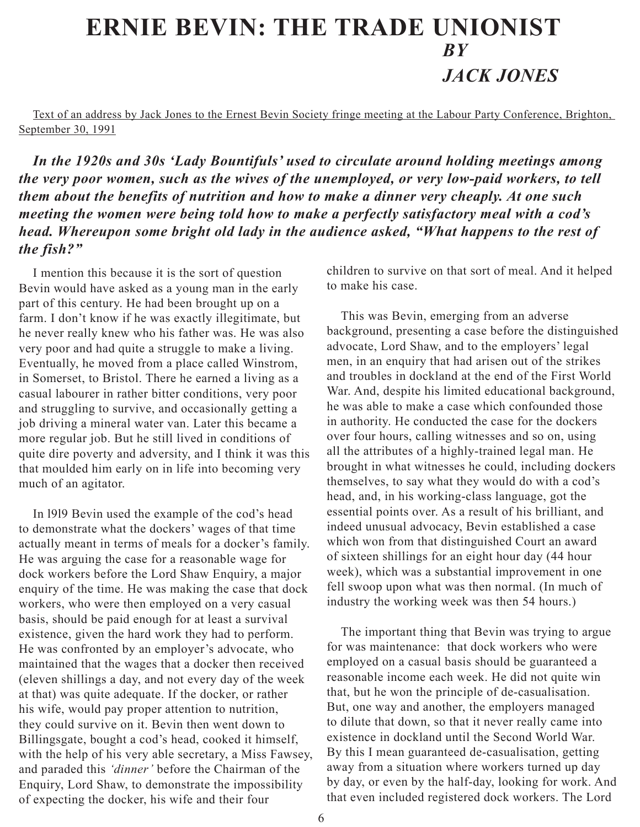## <span id="page-5-0"></span>**Ernie Bevin: The Trade Unionist** *by Jack Jones*

Text of an address by Jack Jones to the Ernest Bevin Society fringe meeting at the Labour Party Conference, Brighton, September 30, 1991

*In the 1920s and 30s 'Lady Bountifuls' used to circulate around holding meetings among the very poor women, such as the wives of the unemployed, or very low-paid workers, to tell them about the benefits of nutrition and how to make a dinner very cheaply. At one such meeting the women were being told how to make a perfectly satisfactory meal with a cod's head. Whereupon some bright old lady in the audience asked, "What happens to the rest of the fish?"*

I mention this because it is the sort of question Bevin would have asked as a young man in the early part of this century. He had been brought up on a farm. I don't know if he was exactly illegitimate, but he never really knew who his father was. He was also very poor and had quite a struggle to make a living. Eventually, he moved from a place called Winstrom, in Somerset, to Bristol. There he earned a living as a casual labourer in rather bitter conditions, very poor and struggling to survive, and occasionally getting a job driving a mineral water van. Later this became a more regular job. But he still lived in conditions of quite dire poverty and adversity, and I think it was this that moulded him early on in life into becoming very much of an agitator.

In l9l9 Bevin used the example of the cod's head to demonstrate what the dockers' wages of that time actually meant in terms of meals for a docker's family. He was arguing the case for a reasonable wage for dock workers before the Lord Shaw Enquiry, a major enquiry of the time. He was making the case that dock workers, who were then employed on a very casual basis, should be paid enough for at least a survival existence, given the hard work they had to perform. He was confronted by an employer's advocate, who maintained that the wages that a docker then received (eleven shillings a day, and not every day of the week at that) was quite adequate. If the docker, or rather his wife, would pay proper attention to nutrition, they could survive on it. Bevin then went down to Billingsgate, bought a cod's head, cooked it himself, with the help of his very able secretary, a Miss Fawsey, and paraded this *'dinner'* before the Chairman of the Enquiry, Lord Shaw, to demonstrate the impossibility of expecting the docker, his wife and their four

children to survive on that sort of meal. And it helped to make his case.

This was Bevin, emerging from an adverse background, presenting a case before the distinguished advocate, Lord Shaw, and to the employers' legal men, in an enquiry that had arisen out of the strikes and troubles in dockland at the end of the First World War. And, despite his limited educational background, he was able to make a case which confounded those in authority. He conducted the case for the dockers over four hours, calling witnesses and so on, using all the attributes of a highly-trained legal man. He brought in what witnesses he could, including dockers themselves, to say what they would do with a cod's head, and, in his working-class language, got the essential points over. As a result of his brilliant, and indeed unusual advocacy, Bevin established a case which won from that distinguished Court an award of sixteen shillings for an eight hour day (44 hour week), which was a substantial improvement in one fell swoop upon what was then normal. (In much of industry the working week was then 54 hours.)

The important thing that Bevin was trying to argue for was maintenance: that dock workers who were employed on a casual basis should be guaranteed a reasonable income each week. He did not quite win that, but he won the principle of de-casualisation. But, one way and another, the employers managed to dilute that down, so that it never really came into existence in dockland until the Second World War. By this I mean guaranteed de-casualisation, getting away from a situation where workers turned up day by day, or even by the half-day, looking for work. And that even included registered dock workers. The Lord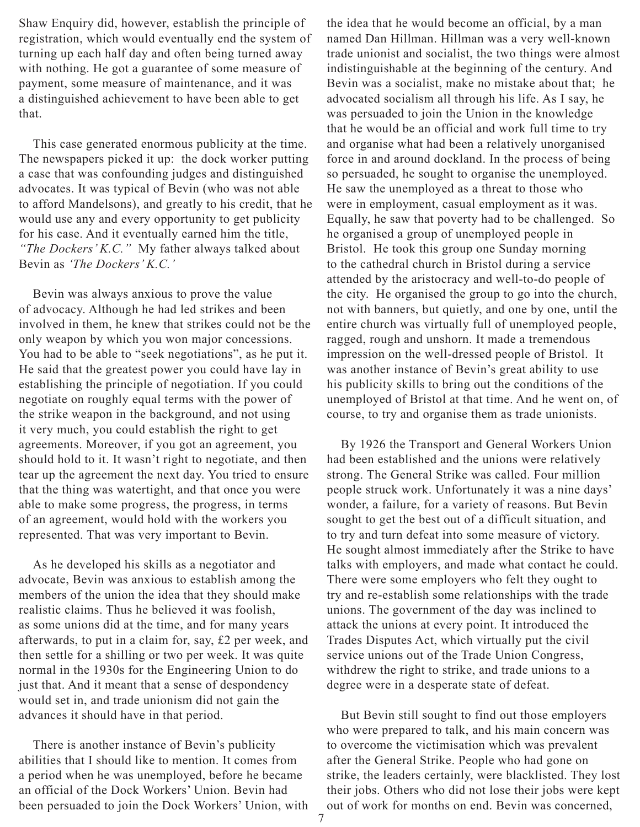Shaw Enquiry did, however, establish the principle of registration, which would eventually end the system of turning up each half day and often being turned away with nothing. He got a guarantee of some measure of payment, some measure of maintenance, and it was a distinguished achievement to have been able to get that.

This case generated enormous publicity at the time. The newspapers picked it up: the dock worker putting a case that was confounding judges and distinguished advocates. It was typical of Bevin (who was not able to afford Mandelsons), and greatly to his credit, that he would use any and every opportunity to get publicity for his case. And it eventually earned him the title, *"The Dockers' K.C."* My father always talked about Bevin as *'The Dockers' K.C.'*

Bevin was always anxious to prove the value of advocacy. Although he had led strikes and been involved in them, he knew that strikes could not be the only weapon by which you won major concessions. You had to be able to "seek negotiations", as he put it. He said that the greatest power you could have lay in establishing the principle of negotiation. If you could negotiate on roughly equal terms with the power of the strike weapon in the background, and not using it very much, you could establish the right to get agreements. Moreover, if you got an agreement, you should hold to it. It wasn't right to negotiate, and then tear up the agreement the next day. You tried to ensure that the thing was watertight, and that once you were able to make some progress, the progress, in terms of an agreement, would hold with the workers you represented. That was very important to Bevin.

As he developed his skills as a negotiator and advocate, Bevin was anxious to establish among the members of the union the idea that they should make realistic claims. Thus he believed it was foolish, as some unions did at the time, and for many years afterwards, to put in a claim for, say, £2 per week, and then settle for a shilling or two per week. It was quite normal in the 1930s for the Engineering Union to do just that. And it meant that a sense of despondency would set in, and trade unionism did not gain the advances it should have in that period.

There is another instance of Bevin's publicity abilities that I should like to mention. It comes from a period when he was unemployed, before he became an official of the Dock Workers' Union. Bevin had been persuaded to join the Dock Workers' Union, with the idea that he would become an official, by a man named Dan Hillman. Hillman was a very well-known trade unionist and socialist, the two things were almost indistinguishable at the beginning of the century. And Bevin was a socialist, make no mistake about that; he advocated socialism all through his life. As I say, he was persuaded to join the Union in the knowledge that he would be an official and work full time to try and organise what had been a relatively unorganised force in and around dockland. In the process of being so persuaded, he sought to organise the unemployed. He saw the unemployed as a threat to those who were in employment, casual employment as it was. Equally, he saw that poverty had to be challenged. So he organised a group of unemployed people in Bristol. He took this group one Sunday morning to the cathedral church in Bristol during a service attended by the aristocracy and well-to-do people of the city. He organised the group to go into the church, not with banners, but quietly, and one by one, until the entire church was virtually full of unemployed people, ragged, rough and unshorn. It made a tremendous impression on the well-dressed people of Bristol. It was another instance of Bevin's great ability to use his publicity skills to bring out the conditions of the unemployed of Bristol at that time. And he went on, of course, to try and organise them as trade unionists.

By 1926 the Transport and General Workers Union had been established and the unions were relatively strong. The General Strike was called. Four million people struck work. Unfortunately it was a nine days' wonder, a failure, for a variety of reasons. But Bevin sought to get the best out of a difficult situation, and to try and turn defeat into some measure of victory. He sought almost immediately after the Strike to have talks with employers, and made what contact he could. There were some employers who felt they ought to try and re-establish some relationships with the trade unions. The government of the day was inclined to attack the unions at every point. It introduced the Trades Disputes Act, which virtually put the civil service unions out of the Trade Union Congress, withdrew the right to strike, and trade unions to a degree were in a desperate state of defeat.

But Bevin still sought to find out those employers who were prepared to talk, and his main concern was to overcome the victimisation which was prevalent after the General Strike. People who had gone on strike, the leaders certainly, were blacklisted. They lost their jobs. Others who did not lose their jobs were kept out of work for months on end. Bevin was concerned,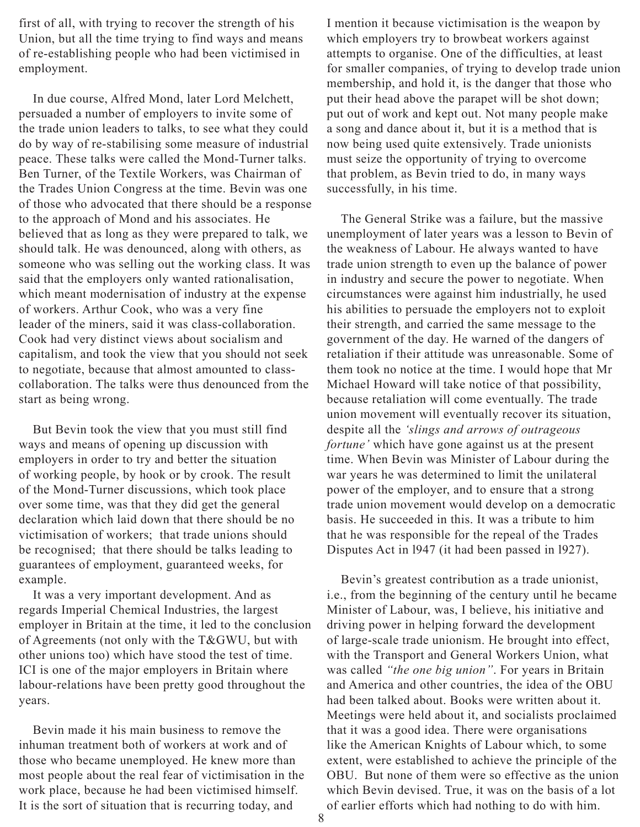first of all, with trying to recover the strength of his Union, but all the time trying to find ways and means of re-establishing people who had been victimised in employment.

In due course, Alfred Mond, later Lord Melchett, persuaded a number of employers to invite some of the trade union leaders to talks, to see what they could do by way of re-stabilising some measure of industrial peace. These talks were called the Mond-Turner talks. Ben Turner, of the Textile Workers, was Chairman of the Trades Union Congress at the time. Bevin was one of those who advocated that there should be a response to the approach of Mond and his associates. He believed that as long as they were prepared to talk, we should talk. He was denounced, along with others, as someone who was selling out the working class. It was said that the employers only wanted rationalisation, which meant modernisation of industry at the expense of workers. Arthur Cook, who was a very fine leader of the miners, said it was class-collaboration. Cook had very distinct views about socialism and capitalism, and took the view that you should not seek to negotiate, because that almost amounted to classcollaboration. The talks were thus denounced from the start as being wrong.

But Bevin took the view that you must still find ways and means of opening up discussion with employers in order to try and better the situation of working people, by hook or by crook. The result of the Mond-Turner discussions, which took place over some time, was that they did get the general declaration which laid down that there should be no victimisation of workers; that trade unions should be recognised; that there should be talks leading to guarantees of employment, guaranteed weeks, for example.

It was a very important development. And as regards Imperial Chemical Industries, the largest employer in Britain at the time, it led to the conclusion of Agreements (not only with the T&GWU, but with other unions too) which have stood the test of time. ICI is one of the major employers in Britain where labour-relations have been pretty good throughout the years.

Bevin made it his main business to remove the inhuman treatment both of workers at work and of those who became unemployed. He knew more than most people about the real fear of victimisation in the work place, because he had been victimised himself. It is the sort of situation that is recurring today, and

I mention it because victimisation is the weapon by which employers try to browbeat workers against attempts to organise. One of the difficulties, at least for smaller companies, of trying to develop trade union membership, and hold it, is the danger that those who put their head above the parapet will be shot down; put out of work and kept out. Not many people make a song and dance about it, but it is a method that is now being used quite extensively. Trade unionists must seize the opportunity of trying to overcome that problem, as Bevin tried to do, in many ways successfully, in his time.

The General Strike was a failure, but the massive unemployment of later years was a lesson to Bevin of the weakness of Labour. He always wanted to have trade union strength to even up the balance of power in industry and secure the power to negotiate. When circumstances were against him industrially, he used his abilities to persuade the employers not to exploit their strength, and carried the same message to the government of the day. He warned of the dangers of retaliation if their attitude was unreasonable. Some of them took no notice at the time. I would hope that Mr Michael Howard will take notice of that possibility, because retaliation will come eventually. The trade union movement will eventually recover its situation, despite all the *'slings and arrows of outrageous fortune'* which have gone against us at the present time. When Bevin was Minister of Labour during the war years he was determined to limit the unilateral power of the employer, and to ensure that a strong trade union movement would develop on a democratic basis. He succeeded in this. It was a tribute to him that he was responsible for the repeal of the Trades Disputes Act in l947 (it had been passed in l927).

Bevin's greatest contribution as a trade unionist, i.e., from the beginning of the century until he became Minister of Labour, was, I believe, his initiative and driving power in helping forward the development of large-scale trade unionism. He brought into effect, with the Transport and General Workers Union, what was called *"the one big union"*. For years in Britain and America and other countries, the idea of the OBU had been talked about. Books were written about it. Meetings were held about it, and socialists proclaimed that it was a good idea. There were organisations like the American Knights of Labour which, to some extent, were established to achieve the principle of the OBU. But none of them were so effective as the union which Bevin devised. True, it was on the basis of a lot of earlier efforts which had nothing to do with him.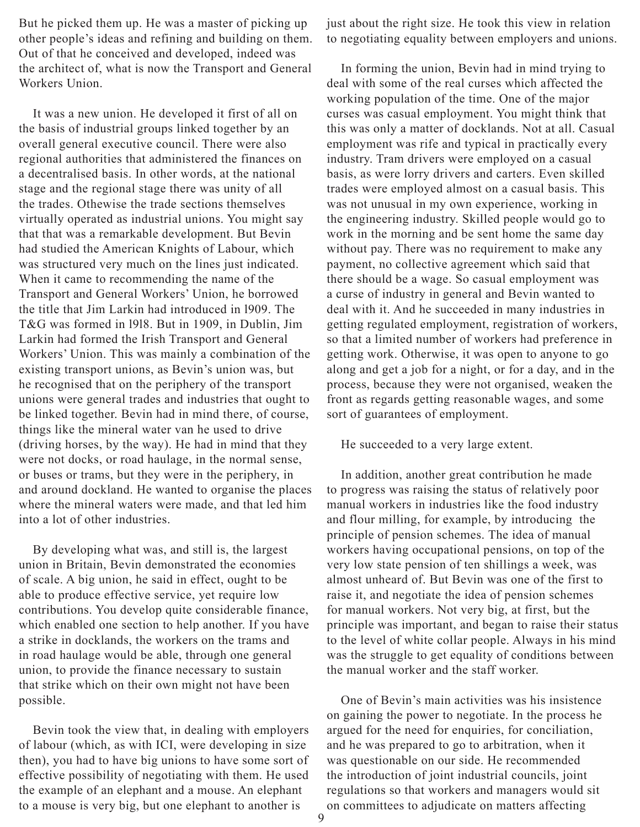But he picked them up. He was a master of picking up other people's ideas and refining and building on them. Out of that he conceived and developed, indeed was the architect of, what is now the Transport and General Workers Union.

It was a new union. He developed it first of all on the basis of industrial groups linked together by an overall general executive council. There were also regional authorities that administered the finances on a decentralised basis. In other words, at the national stage and the regional stage there was unity of all the trades. Othewise the trade sections themselves virtually operated as industrial unions. You might say that that was a remarkable development. But Bevin had studied the American Knights of Labour, which was structured very much on the lines just indicated. When it came to recommending the name of the Transport and General Workers' Union, he borrowed the title that Jim Larkin had introduced in l909. The T&G was formed in l9l8. But in 1909, in Dublin, Jim Larkin had formed the Irish Transport and General Workers' Union. This was mainly a combination of the existing transport unions, as Bevin's union was, but he recognised that on the periphery of the transport unions were general trades and industries that ought to be linked together. Bevin had in mind there, of course, things like the mineral water van he used to drive (driving horses, by the way). He had in mind that they were not docks, or road haulage, in the normal sense, or buses or trams, but they were in the periphery, in and around dockland. He wanted to organise the places where the mineral waters were made, and that led him into a lot of other industries.

By developing what was, and still is, the largest union in Britain, Bevin demonstrated the economies of scale. A big union, he said in effect, ought to be able to produce effective service, yet require low contributions. You develop quite considerable finance, which enabled one section to help another. If you have a strike in docklands, the workers on the trams and in road haulage would be able, through one general union, to provide the finance necessary to sustain that strike which on their own might not have been possible.

Bevin took the view that, in dealing with employers of labour (which, as with ICI, were developing in size then), you had to have big unions to have some sort of effective possibility of negotiating with them. He used the example of an elephant and a mouse. An elephant to a mouse is very big, but one elephant to another is

just about the right size. He took this view in relation to negotiating equality between employers and unions.

In forming the union, Bevin had in mind trying to deal with some of the real curses which affected the working population of the time. One of the major curses was casual employment. You might think that this was only a matter of docklands. Not at all. Casual employment was rife and typical in practically every industry. Tram drivers were employed on a casual basis, as were lorry drivers and carters. Even skilled trades were employed almost on a casual basis. This was not unusual in my own experience, working in the engineering industry. Skilled people would go to work in the morning and be sent home the same day without pay. There was no requirement to make any payment, no collective agreement which said that there should be a wage. So casual employment was a curse of industry in general and Bevin wanted to deal with it. And he succeeded in many industries in getting regulated employment, registration of workers, so that a limited number of workers had preference in getting work. Otherwise, it was open to anyone to go along and get a job for a night, or for a day, and in the process, because they were not organised, weaken the front as regards getting reasonable wages, and some sort of guarantees of employment.

#### He succeeded to a very large extent.

In addition, another great contribution he made to progress was raising the status of relatively poor manual workers in industries like the food industry and flour milling, for example, by introducing the principle of pension schemes. The idea of manual workers having occupational pensions, on top of the very low state pension of ten shillings a week, was almost unheard of. But Bevin was one of the first to raise it, and negotiate the idea of pension schemes for manual workers. Not very big, at first, but the principle was important, and began to raise their status to the level of white collar people. Always in his mind was the struggle to get equality of conditions between the manual worker and the staff worker.

One of Bevin's main activities was his insistence on gaining the power to negotiate. In the process he argued for the need for enquiries, for conciliation, and he was prepared to go to arbitration, when it was questionable on our side. He recommended the introduction of joint industrial councils, joint regulations so that workers and managers would sit on committees to adjudicate on matters affecting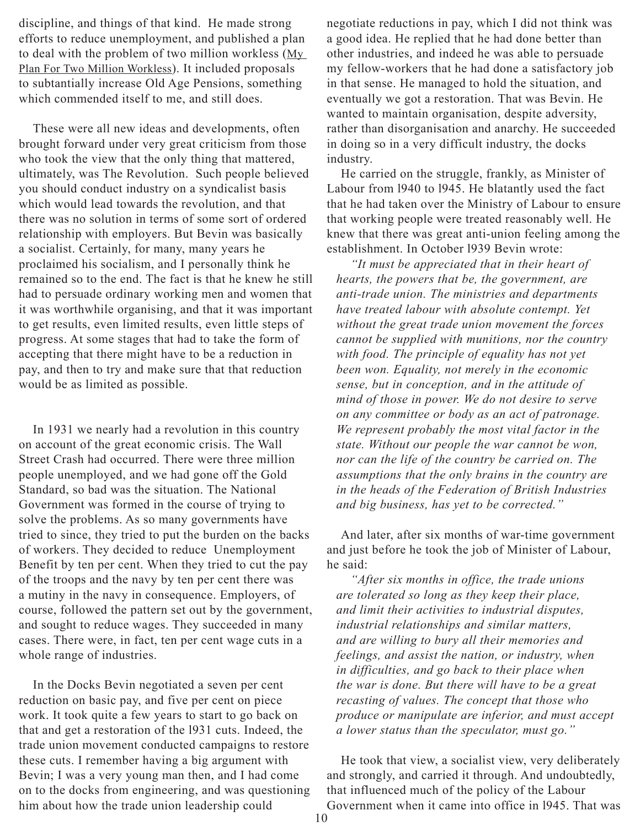discipline, and things of that kind. He made strong efforts to reduce unemployment, and published a plan to deal with the problem of two million workless (My Plan For Two Million Workless). It included proposals to subtantially increase Old Age Pensions, something which commended itself to me, and still does.

These were all new ideas and developments, often brought forward under very great criticism from those who took the view that the only thing that mattered, ultimately, was The Revolution. Such people believed you should conduct industry on a syndicalist basis which would lead towards the revolution, and that there was no solution in terms of some sort of ordered relationship with employers. But Bevin was basically a socialist. Certainly, for many, many years he proclaimed his socialism, and I personally think he remained so to the end. The fact is that he knew he still had to persuade ordinary working men and women that it was worthwhile organising, and that it was important to get results, even limited results, even little steps of progress. At some stages that had to take the form of accepting that there might have to be a reduction in pay, and then to try and make sure that that reduction would be as limited as possible.

In 1931 we nearly had a revolution in this country on account of the great economic crisis. The Wall Street Crash had occurred. There were three million people unemployed, and we had gone off the Gold Standard, so bad was the situation. The National Government was formed in the course of trying to solve the problems. As so many governments have tried to since, they tried to put the burden on the backs of workers. They decided to reduce Unemployment Benefit by ten per cent. When they tried to cut the pay of the troops and the navy by ten per cent there was a mutiny in the navy in consequence. Employers, of course, followed the pattern set out by the government, and sought to reduce wages. They succeeded in many cases. There were, in fact, ten per cent wage cuts in a whole range of industries.

In the Docks Bevin negotiated a seven per cent reduction on basic pay, and five per cent on piece work. It took quite a few years to start to go back on that and get a restoration of the l931 cuts. Indeed, the trade union movement conducted campaigns to restore these cuts. I remember having a big argument with Bevin; I was a very young man then, and I had come on to the docks from engineering, and was questioning him about how the trade union leadership could

negotiate reductions in pay, which I did not think was a good idea. He replied that he had done better than other industries, and indeed he was able to persuade my fellow-workers that he had done a satisfactory job in that sense. He managed to hold the situation, and eventually we got a restoration. That was Bevin. He wanted to maintain organisation, despite adversity, rather than disorganisation and anarchy. He succeeded in doing so in a very difficult industry, the docks industry.

He carried on the struggle, frankly, as Minister of Labour from l940 to l945. He blatantly used the fact that he had taken over the Ministry of Labour to ensure that working people were treated reasonably well. He knew that there was great anti-union feeling among the establishment. In October l939 Bevin wrote:

*"It must be appreciated that in their heart of hearts, the powers that be, the government, are anti-trade union. The ministries and departments have treated labour with absolute contempt. Yet without the great trade union movement the forces cannot be supplied with munitions, nor the country with food. The principle of equality has not yet been won. Equality, not merely in the economic sense, but in conception, and in the attitude of mind of those in power. We do not desire to serve on any committee or body as an act of patronage. We represent probably the most vital factor in the state. Without our people the war cannot be won, nor can the life of the country be carried on. The assumptions that the only brains in the country are in the heads of the Federation of British Industries and big business, has yet to be corrected."*

And later, after six months of war-time government and just before he took the job of Minister of Labour, he said:

*"After six months in office, the trade unions are tolerated so long as they keep their place, and limit their activities to industrial disputes, industrial relationships and similar matters, and are willing to bury all their memories and feelings, and assist the nation, or industry, when in difficulties, and go back to their place when the war is done. But there will have to be a great recasting of values. The concept that those who produce or manipulate are inferior, and must accept a lower status than the speculator, must go."*

He took that view, a socialist view, very deliberately and strongly, and carried it through. And undoubtedly, that influenced much of the policy of the Labour Government when it came into office in l945. That was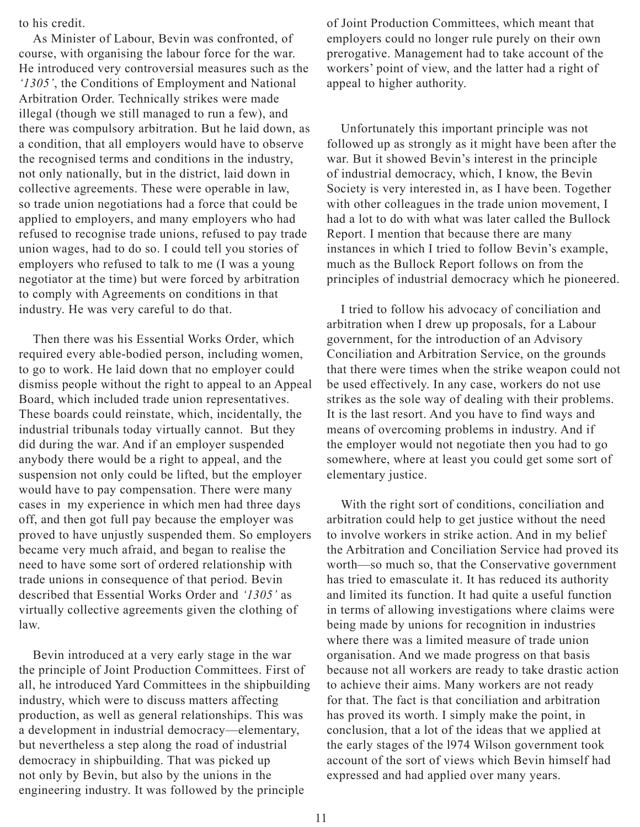to his credit.

As Minister of Labour, Bevin was confronted, of course, with organising the labour force for the war. He introduced very controversial measures such as the *'1305'*, the Conditions of Employment and National Arbitration Order. Technically strikes were made illegal (though we still managed to run a few), and there was compulsory arbitration. But he laid down, as a condition, that all employers would have to observe the recognised terms and conditions in the industry, not only nationally, but in the district, laid down in collective agreements. These were operable in law, so trade union negotiations had a force that could be applied to employers, and many employers who had refused to recognise trade unions, refused to pay trade union wages, had to do so. I could tell you stories of employers who refused to talk to me (I was a young negotiator at the time) but were forced by arbitration to comply with Agreements on conditions in that industry. He was very careful to do that.

Then there was his Essential Works Order, which required every able-bodied person, including women, to go to work. He laid down that no employer could dismiss people without the right to appeal to an Appeal Board, which included trade union representatives. These boards could reinstate, which, incidentally, the industrial tribunals today virtually cannot. But they did during the war. And if an employer suspended anybody there would be a right to appeal, and the suspension not only could be lifted, but the employer would have to pay compensation. There were many cases in my experience in which men had three days off, and then got full pay because the employer was proved to have unjustly suspended them. So employers became very much afraid, and began to realise the need to have some sort of ordered relationship with trade unions in consequence of that period. Bevin described that Essential Works Order and *'1305'* as virtually collective agreements given the clothing of law.

Bevin introduced at a very early stage in the war the principle of Joint Production Committees. First of all, he introduced Yard Committees in the shipbuilding industry, which were to discuss matters affecting production, as well as general relationships. This was a development in industrial democracy—elementary, but nevertheless a step along the road of industrial democracy in shipbuilding. That was picked up not only by Bevin, but also by the unions in the engineering industry. It was followed by the principle

of Joint Production Committees, which meant that employers could no longer rule purely on their own prerogative. Management had to take account of the workers' point of view, and the latter had a right of appeal to higher authority.

Unfortunately this important principle was not followed up as strongly as it might have been after the war. But it showed Bevin's interest in the principle of industrial democracy, which, I know, the Bevin Society is very interested in, as I have been. Together with other colleagues in the trade union movement, I had a lot to do with what was later called the Bullock Report. I mention that because there are many instances in which I tried to follow Bevin's example, much as the Bullock Report follows on from the principles of industrial democracy which he pioneered.

I tried to follow his advocacy of conciliation and arbitration when I drew up proposals, for a Labour government, for the introduction of an Advisory Conciliation and Arbitration Service, on the grounds that there were times when the strike weapon could not be used effectively. In any case, workers do not use strikes as the sole way of dealing with their problems. It is the last resort. And you have to find ways and means of overcoming problems in industry. And if the employer would not negotiate then you had to go somewhere, where at least you could get some sort of elementary justice.

With the right sort of conditions, conciliation and arbitration could help to get justice without the need to involve workers in strike action. And in my belief the Arbitration and Conciliation Service had proved its worth—so much so, that the Conservative government has tried to emasculate it. It has reduced its authority and limited its function. It had quite a useful function in terms of allowing investigations where claims were being made by unions for recognition in industries where there was a limited measure of trade union organisation. And we made progress on that basis because not all workers are ready to take drastic action to achieve their aims. Many workers are not ready for that. The fact is that conciliation and arbitration has proved its worth. I simply make the point, in conclusion, that a lot of the ideas that we applied at the early stages of the l974 Wilson government took account of the sort of views which Bevin himself had expressed and had applied over many years.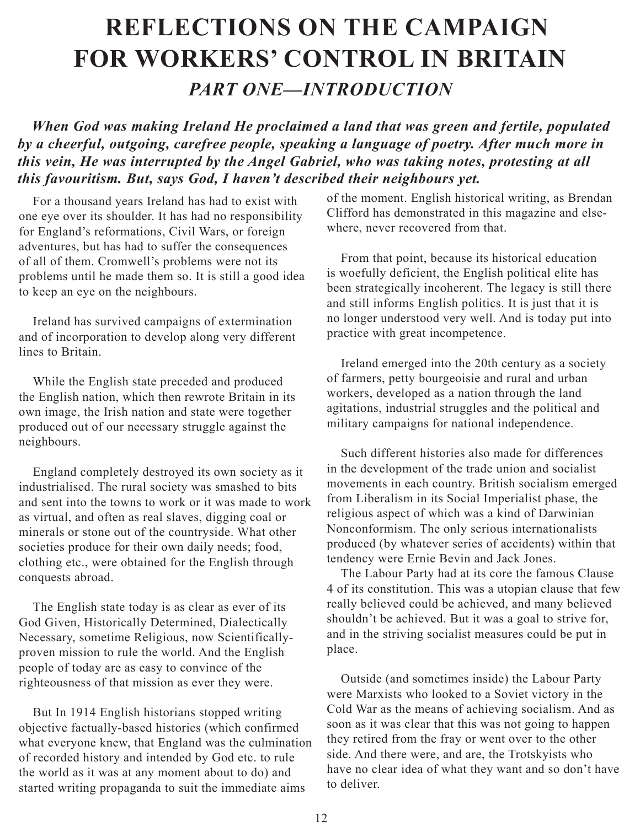# <span id="page-11-0"></span>**Reflections On The Campaign For Workers' Control In Britain** *Part One—Introduction*

*When God was making Ireland He proclaimed a land that was green and fertile, populated by a cheerful, outgoing, carefree people, speaking a language of poetry. After much more in this vein, He was interrupted by the Angel Gabriel, who was taking notes, protesting at all this favouritism. But, says God, I haven't described their neighbours yet.*

For a thousand years Ireland has had to exist with one eye over its shoulder. It has had no responsibility for England's reformations, Civil Wars, or foreign adventures, but has had to suffer the consequences of all of them. Cromwell's problems were not its problems until he made them so. It is still a good idea to keep an eye on the neighbours.

Ireland has survived campaigns of extermination and of incorporation to develop along very different lines to Britain.

While the English state preceded and produced the English nation, which then rewrote Britain in its own image, the Irish nation and state were together produced out of our necessary struggle against the neighbours.

England completely destroyed its own society as it industrialised. The rural society was smashed to bits and sent into the towns to work or it was made to work as virtual, and often as real slaves, digging coal or minerals or stone out of the countryside. What other societies produce for their own daily needs; food, clothing etc., were obtained for the English through conquests abroad.

The English state today is as clear as ever of its God Given, Historically Determined, Dialectically Necessary, sometime Religious, now Scientificallyproven mission to rule the world. And the English people of today are as easy to convince of the righteousness of that mission as ever they were.

But In 1914 English historians stopped writing objective factually-based histories (which confirmed what everyone knew, that England was the culmination of recorded history and intended by God etc. to rule the world as it was at any moment about to do) and started writing propaganda to suit the immediate aims

of the moment. English historical writing, as Brendan Clifford has demonstrated in this magazine and elsewhere, never recovered from that.

From that point, because its historical education is woefully deficient, the English political elite has been strategically incoherent. The legacy is still there and still informs English politics. It is just that it is no longer understood very well. And is today put into practice with great incompetence.

Ireland emerged into the 20th century as a society of farmers, petty bourgeoisie and rural and urban workers, developed as a nation through the land agitations, industrial struggles and the political and military campaigns for national independence.

Such different histories also made for differences in the development of the trade union and socialist movements in each country. British socialism emerged from Liberalism in its Social Imperialist phase, the religious aspect of which was a kind of Darwinian Nonconformism. The only serious internationalists produced (by whatever series of accidents) within that tendency were Ernie Bevin and Jack Jones.

The Labour Party had at its core the famous Clause 4 of its constitution. This was a utopian clause that few really believed could be achieved, and many believed shouldn't be achieved. But it was a goal to strive for, and in the striving socialist measures could be put in place.

Outside (and sometimes inside) the Labour Party were Marxists who looked to a Soviet victory in the Cold War as the means of achieving socialism. And as soon as it was clear that this was not going to happen they retired from the fray or went over to the other side. And there were, and are, the Trotskyists who have no clear idea of what they want and so don't have to deliver.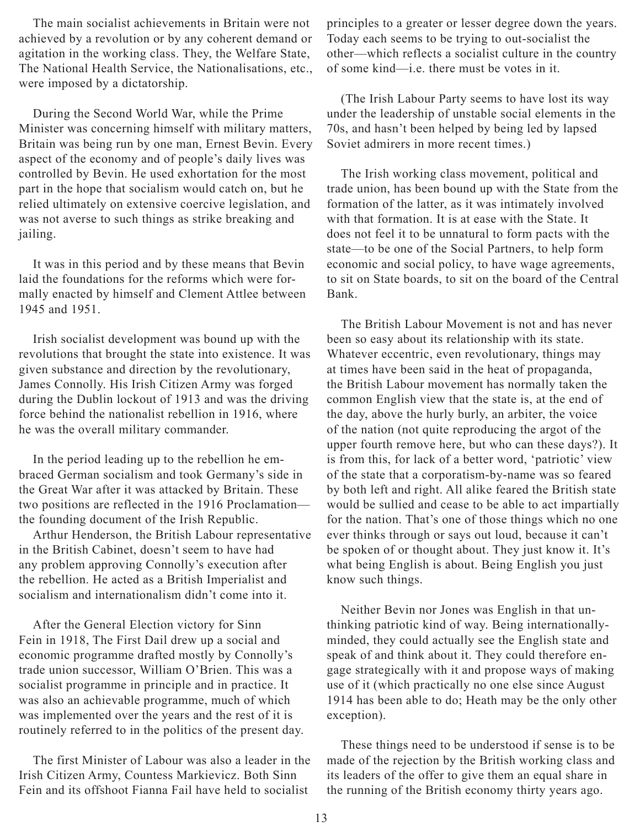The main socialist achievements in Britain were not achieved by a revolution or by any coherent demand or agitation in the working class. They, the Welfare State, The National Health Service, the Nationalisations, etc., were imposed by a dictatorship.

During the Second World War, while the Prime Minister was concerning himself with military matters, Britain was being run by one man, Ernest Bevin. Every aspect of the economy and of people's daily lives was controlled by Bevin. He used exhortation for the most part in the hope that socialism would catch on, but he relied ultimately on extensive coercive legislation, and was not averse to such things as strike breaking and jailing.

It was in this period and by these means that Bevin laid the foundations for the reforms which were formally enacted by himself and Clement Attlee between 1945 and 1951.

Irish socialist development was bound up with the revolutions that brought the state into existence. It was given substance and direction by the revolutionary, James Connolly. His Irish Citizen Army was forged during the Dublin lockout of 1913 and was the driving force behind the nationalist rebellion in 1916, where he was the overall military commander.

In the period leading up to the rebellion he embraced German socialism and took Germany's side in the Great War after it was attacked by Britain. These two positions are reflected in the 1916 Proclamation the founding document of the Irish Republic.

Arthur Henderson, the British Labour representative in the British Cabinet, doesn't seem to have had any problem approving Connolly's execution after the rebellion. He acted as a British Imperialist and socialism and internationalism didn't come into it.

After the General Election victory for Sinn Fein in 1918, The First Dail drew up a social and economic programme drafted mostly by Connolly's trade union successor, William O'Brien. This was a socialist programme in principle and in practice. It was also an achievable programme, much of which was implemented over the years and the rest of it is routinely referred to in the politics of the present day.

The first Minister of Labour was also a leader in the Irish Citizen Army, Countess Markievicz. Both Sinn Fein and its offshoot Fianna Fail have held to socialist

principles to a greater or lesser degree down the years. Today each seems to be trying to out-socialist the other—which reflects a socialist culture in the country of some kind—i.e. there must be votes in it.

(The Irish Labour Party seems to have lost its way under the leadership of unstable social elements in the 70s, and hasn't been helped by being led by lapsed Soviet admirers in more recent times.)

The Irish working class movement, political and trade union, has been bound up with the State from the formation of the latter, as it was intimately involved with that formation. It is at ease with the State. It does not feel it to be unnatural to form pacts with the state—to be one of the Social Partners, to help form economic and social policy, to have wage agreements, to sit on State boards, to sit on the board of the Central Bank.

The British Labour Movement is not and has never been so easy about its relationship with its state. Whatever eccentric, even revolutionary, things may at times have been said in the heat of propaganda, the British Labour movement has normally taken the common English view that the state is, at the end of the day, above the hurly burly, an arbiter, the voice of the nation (not quite reproducing the argot of the upper fourth remove here, but who can these days?). It is from this, for lack of a better word, 'patriotic' view of the state that a corporatism-by-name was so feared by both left and right. All alike feared the British state would be sullied and cease to be able to act impartially for the nation. That's one of those things which no one ever thinks through or says out loud, because it can't be spoken of or thought about. They just know it. It's what being English is about. Being English you just know such things.

Neither Bevin nor Jones was English in that unthinking patriotic kind of way. Being internationallyminded, they could actually see the English state and speak of and think about it. They could therefore engage strategically with it and propose ways of making use of it (which practically no one else since August 1914 has been able to do; Heath may be the only other exception).

These things need to be understood if sense is to be made of the rejection by the British working class and its leaders of the offer to give them an equal share in the running of the British economy thirty years ago.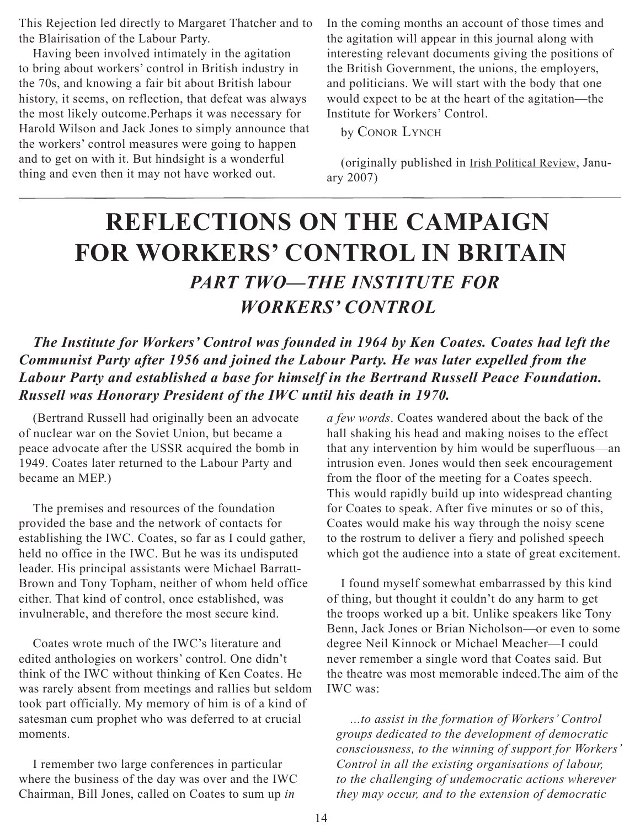<span id="page-13-0"></span>This Rejection led directly to Margaret Thatcher and to the Blairisation of the Labour Party.

Having been involved intimately in the agitation to bring about workers' control in British industry in the 70s, and knowing a fair bit about British labour history, it seems, on reflection, that defeat was always the most likely outcome.Perhaps it was necessary for Harold Wilson and Jack Jones to simply announce that the workers' control measures were going to happen and to get on with it. But hindsight is a wonderful thing and even then it may not have worked out.

In the coming months an account of those times and the agitation will appear in this journal along with interesting relevant documents giving the positions of the British Government, the unions, the employers, and politicians. We will start with the body that one would expect to be at the heart of the agitation—the Institute for Workers' Control.

by CONOR LYNCH

(originally published in Irish Political Review, January 2007)

# **Reflections On The Campaign For Workers' Control In Britain** *Part Two—The Institute For Workers' Control*

*The Institute for Workers' Control was founded in 1964 by Ken Coates. Coates had left the Communist Party after 1956 and joined the Labour Party. He was later expelled from the Labour Party and established a base for himself in the Bertrand Russell Peace Foundation. Russell was Honorary President of the IWC until his death in 1970.*

(Bertrand Russell had originally been an advocate of nuclear war on the Soviet Union, but became a peace advocate after the USSR acquired the bomb in 1949. Coates later returned to the Labour Party and became an MEP.)

The premises and resources of the foundation provided the base and the network of contacts for establishing the IWC. Coates, so far as I could gather, held no office in the IWC. But he was its undisputed leader. His principal assistants were Michael Barratt-Brown and Tony Topham, neither of whom held office either. That kind of control, once established, was invulnerable, and therefore the most secure kind.

Coates wrote much of the IWC's literature and edited anthologies on workers' control. One didn't think of the IWC without thinking of Ken Coates. He was rarely absent from meetings and rallies but seldom took part officially. My memory of him is of a kind of satesman cum prophet who was deferred to at crucial moments.

I remember two large conferences in particular where the business of the day was over and the IWC Chairman, Bill Jones, called on Coates to sum up *in* 

*a few words*. Coates wandered about the back of the hall shaking his head and making noises to the effect that any intervention by him would be superfluous—an intrusion even. Jones would then seek encouragement from the floor of the meeting for a Coates speech. This would rapidly build up into widespread chanting for Coates to speak. After five minutes or so of this, Coates would make his way through the noisy scene to the rostrum to deliver a fiery and polished speech which got the audience into a state of great excitement.

I found myself somewhat embarrassed by this kind of thing, but thought it couldn't do any harm to get the troops worked up a bit. Unlike speakers like Tony Benn, Jack Jones or Brian Nicholson—or even to some degree Neil Kinnock or Michael Meacher—I could never remember a single word that Coates said. But the theatre was most memorable indeed.The aim of the IWC was:

*...to assist in the formation of Workers' Control groups dedicated to the development of democratic consciousness, to the winning of support for Workers' Control in all the existing organisations of labour, to the challenging of undemocratic actions wherever they may occur, and to the extension of democratic*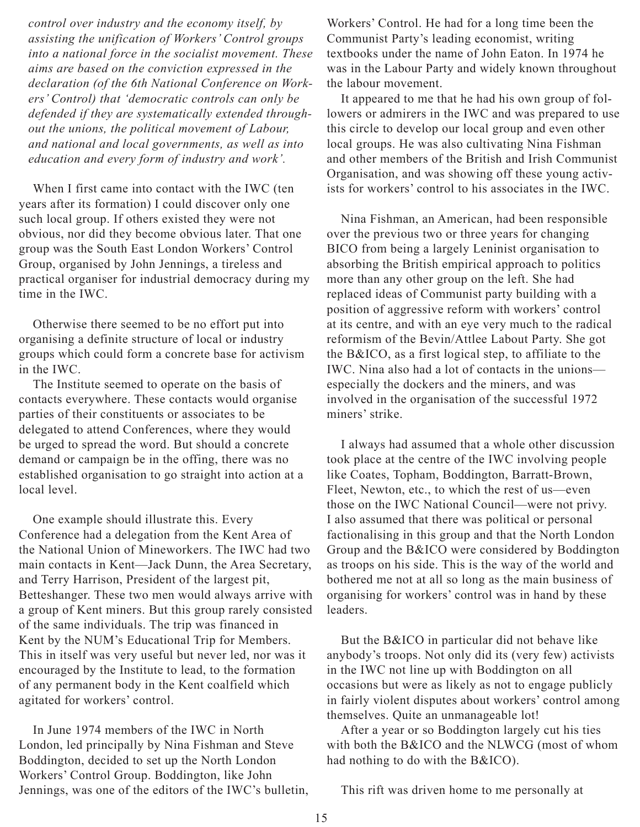*control over industry and the economy itself, by assisting the unification of Workers' Control groups into a national force in the socialist movement. These aims are based on the conviction expressed in the declaration (of the 6th National Conference on Workers' Control) that 'democratic controls can only be defended if they are systematically extended throughout the unions, the political movement of Labour, and national and local governments, as well as into education and every form of industry and work'.*

When I first came into contact with the IWC (ten years after its formation) I could discover only one such local group. If others existed they were not obvious, nor did they become obvious later. That one group was the South East London Workers' Control Group, organised by John Jennings, a tireless and practical organiser for industrial democracy during my time in the IWC.

Otherwise there seemed to be no effort put into organising a definite structure of local or industry groups which could form a concrete base for activism in the IWC.

The Institute seemed to operate on the basis of contacts everywhere. These contacts would organise parties of their constituents or associates to be delegated to attend Conferences, where they would be urged to spread the word. But should a concrete demand or campaign be in the offing, there was no established organisation to go straight into action at a local level.

One example should illustrate this. Every Conference had a delegation from the Kent Area of the National Union of Mineworkers. The IWC had two main contacts in Kent—Jack Dunn, the Area Secretary, and Terry Harrison, President of the largest pit, Betteshanger. These two men would always arrive with a group of Kent miners. But this group rarely consisted of the same individuals. The trip was financed in Kent by the NUM's Educational Trip for Members. This in itself was very useful but never led, nor was it encouraged by the Institute to lead, to the formation of any permanent body in the Kent coalfield which agitated for workers' control.

In June 1974 members of the IWC in North London, led principally by Nina Fishman and Steve Boddington, decided to set up the North London Workers' Control Group. Boddington, like John Jennings, was one of the editors of the IWC's bulletin, Workers' Control. He had for a long time been the Communist Party's leading economist, writing textbooks under the name of John Eaton. In 1974 he was in the Labour Party and widely known throughout the labour movement.

It appeared to me that he had his own group of followers or admirers in the IWC and was prepared to use this circle to develop our local group and even other local groups. He was also cultivating Nina Fishman and other members of the British and Irish Communist Organisation, and was showing off these young activists for workers' control to his associates in the IWC.

Nina Fishman, an American, had been responsible over the previous two or three years for changing BICO from being a largely Leninist organisation to absorbing the British empirical approach to politics more than any other group on the left. She had replaced ideas of Communist party building with a position of aggressive reform with workers' control at its centre, and with an eye very much to the radical reformism of the Bevin/Attlee Labout Party. She got the B&ICO, as a first logical step, to affiliate to the IWC. Nina also had a lot of contacts in the unions especially the dockers and the miners, and was involved in the organisation of the successful 1972 miners' strike.

I always had assumed that a whole other discussion took place at the centre of the IWC involving people like Coates, Topham, Boddington, Barratt-Brown, Fleet, Newton, etc., to which the rest of us—even those on the IWC National Council—were not privy. I also assumed that there was political or personal factionalising in this group and that the North London Group and the B&ICO were considered by Boddington as troops on his side. This is the way of the world and bothered me not at all so long as the main business of organising for workers' control was in hand by these leaders.

But the B&ICO in particular did not behave like anybody's troops. Not only did its (very few) activists in the IWC not line up with Boddington on all occasions but were as likely as not to engage publicly in fairly violent disputes about workers' control among themselves. Quite an unmanageable lot!

After a year or so Boddington largely cut his ties with both the B&ICO and the NLWCG (most of whom had nothing to do with the B&ICO).

This rift was driven home to me personally at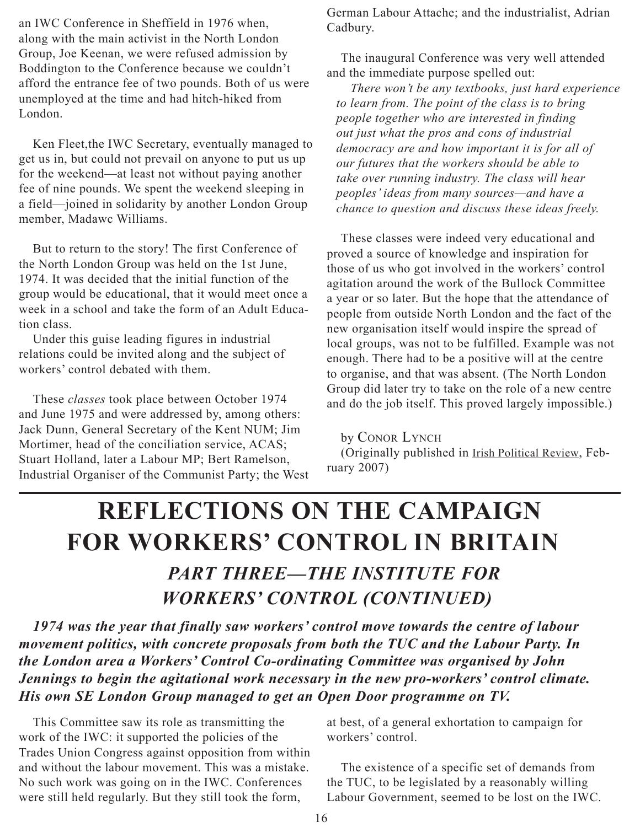<span id="page-15-0"></span>an IWC Conference in Sheffield in 1976 when, along with the main activist in the North London Group, Joe Keenan, we were refused admission by Boddington to the Conference because we couldn't afford the entrance fee of two pounds. Both of us were unemployed at the time and had hitch-hiked from London.

Ken Fleet,the IWC Secretary, eventually managed to get us in, but could not prevail on anyone to put us up for the weekend—at least not without paying another fee of nine pounds. We spent the weekend sleeping in a field—joined in solidarity by another London Group member, Madawc Williams.

But to return to the story! The first Conference of the North London Group was held on the 1st June, 1974. It was decided that the initial function of the group would be educational, that it would meet once a week in a school and take the form of an Adult Education class.

Under this guise leading figures in industrial relations could be invited along and the subject of workers' control debated with them.

These *classes* took place between October 1974 and June 1975 and were addressed by, among others: Jack Dunn, General Secretary of the Kent NUM; Jim Mortimer, head of the conciliation service, ACAS; Stuart Holland, later a Labour MP; Bert Ramelson, Industrial Organiser of the Communist Party; the West German Labour Attache; and the industrialist, Adrian Cadbury.

The inaugural Conference was very well attended and the immediate purpose spelled out:

*There won't be any textbooks, just hard experience to learn from. The point of the class is to bring people together who are interested in finding out just what the pros and cons of industrial democracy are and how important it is for all of our futures that the workers should be able to take over running industry. The class will hear peoples' ideas from many sources—and have a chance to question and discuss these ideas freely.*

These classes were indeed very educational and proved a source of knowledge and inspiration for those of us who got involved in the workers' control agitation around the work of the Bullock Committee a year or so later. But the hope that the attendance of people from outside North London and the fact of the new organisation itself would inspire the spread of local groups, was not to be fulfilled. Example was not enough. There had to be a positive will at the centre to organise, and that was absent. (The North London Group did later try to take on the role of a new centre and do the job itself. This proved largely impossible.)

by CONOR LYNCH (Originally published in Irish Political Review, February 2007)

# **Reflections On The Campaign For Workers' Control In Britain** *Part Three—The Institute For Workers' Control (continued)*

*1974 was the year that finally saw workers' control move towards the centre of labour movement politics, with concrete proposals from both the TUC and the Labour Party. In the London area a Workers' Control Co-ordinating Committee was organised by John Jennings to begin the agitational work necessary in the new pro-workers' control climate. His own SE London Group managed to get an Open Door programme on TV.*

This Committee saw its role as transmitting the work of the IWC: it supported the policies of the Trades Union Congress against opposition from within and without the labour movement. This was a mistake. No such work was going on in the IWC. Conferences were still held regularly. But they still took the form,

at best, of a general exhortation to campaign for workers' control.

The existence of a specific set of demands from the TUC, to be legislated by a reasonably willing Labour Government, seemed to be lost on the IWC.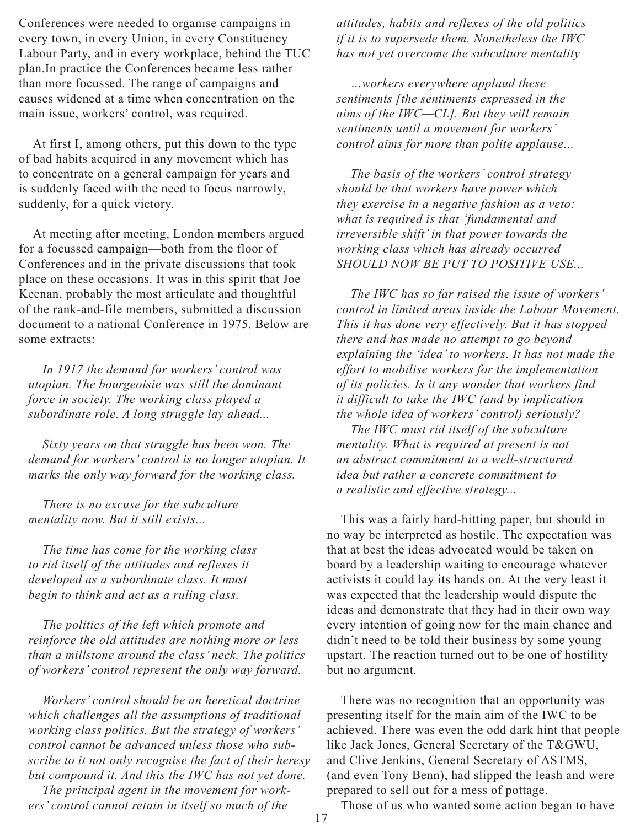Conferences were needed to organise campaigns in every town, in every Union, in every Constituency Labour Party, and in every workplace, behind the TUC plan.In practice the Conferences became less rather than more focussed. The range of campaigns and causes widened at a time when concentration on the main issue, workers' control, was required.

At first I, among others, put this down to the type of bad habits acquired in any movement which has to concentrate on a general campaign for years and is suddenly faced with the need to focus narrowly, suddenly, for a quick victory.

At meeting after meeting, London members argued for a focussed campaign—both from the floor of Conferences and in the private discussions that took place on these occasions. It was in this spirit that Joe Keenan, probably the most articulate and thoughtful of the rank-and-file members, submitted a discussion document to a national Conference in 1975. Below are some extracts:

*In 1917 the demand for workers' control was utopian. The bourgeoisie was still the dominant force in society. The working class played a subordinate role. A long struggle lay ahead...*

*Sixty years on that struggle has been won. The demand for workers' control is no longer utopian. It marks the only way forward for the working class.*

*There is no excuse for the subculture mentality now. But it still exists...*

*The time has come for the working class to rid itself of the attitudes and reflexes it developed as a subordinate class. It must begin to think and act as a ruling class.*

*The politics of the left which promote and reinforce the old attitudes are nothing more or less than a millstone around the class' neck. The politics of workers' control represent the only way forward.*

*Workers' control should be an heretical doctrine which challenges all the assumptions of traditional working class politics. But the strategy of workers' control cannot be advanced unless those who subscribe to it not only recognise the fact of their heresy but compound it. And this the IWC has not yet done.*

*The principal agent in the movement for workers' control cannot retain in itself so much of the* 

*attitudes, habits and reflexes of the old politics if it is to supersede them. Nonetheless the IWC has not yet overcome the subculture mentality*

*…workers everywhere applaud these sentiments [the sentiments expressed in the aims of the IWC—CL]. But they will remain sentiments until a movement for workers' control aims for more than polite applause...*

*The basis of the workers' control strategy should be that workers have power which they exercise in a negative fashion as a veto: what is required is that 'fundamental and irreversible shift' in that power towards the working class which has already occurred SHOULD NOW BE PUT TO POSITIVE USE...*

*The IWC has so far raised the issue of workers' control in limited areas inside the Labour Movement. This it has done very effectively. But it has stopped there and has made no attempt to go beyond explaining the 'idea' to workers. It has not made the effort to mobilise workers for the implementation of its policies. Is it any wonder that workers find it difficult to take the IWC (and by implication the whole idea of workers' control) seriously?*

*The IWC must rid itself of the subculture mentality. What is required at present is not an abstract commitment to a well-structured idea but rather a concrete commitment to a realistic and effective strategy...*

This was a fairly hard-hitting paper, but should in no way be interpreted as hostile. The expectation was that at best the ideas advocated would be taken on board by a leadership waiting to encourage whatever activists it could lay its hands on. At the very least it was expected that the leadership would dispute the ideas and demonstrate that they had in their own way every intention of going now for the main chance and didn't need to be told their business by some young upstart. The reaction turned out to be one of hostility but no argument.

There was no recognition that an opportunity was presenting itself for the main aim of the IWC to be achieved. There was even the odd dark hint that people like Jack Jones, General Secretary of the T&GWU, and Clive Jenkins, General Secretary of ASTMS, (and even Tony Benn), had slipped the leash and were prepared to sell out for a mess of pottage.

Those of us who wanted some action began to have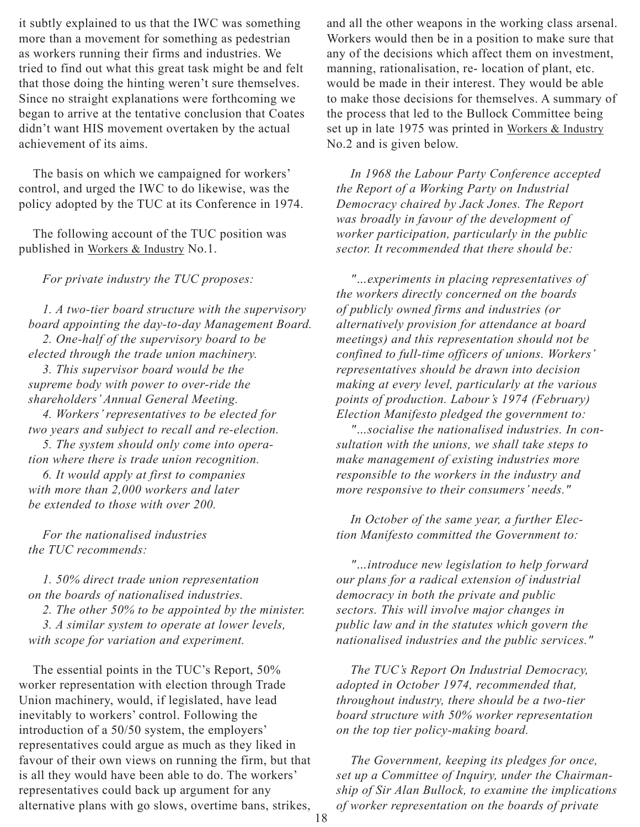it subtly explained to us that the IWC was something more than a movement for something as pedestrian as workers running their firms and industries. We tried to find out what this great task might be and felt that those doing the hinting weren't sure themselves. Since no straight explanations were forthcoming we began to arrive at the tentative conclusion that Coates didn't want HIS movement overtaken by the actual achievement of its aims.

The basis on which we campaigned for workers' control, and urged the IWC to do likewise, was the policy adopted by the TUC at its Conference in 1974.

The following account of the TUC position was published in Workers & Industry No.1.

*For private industry the TUC proposes:*

*1. A two-tier board structure with the supervisory board appointing the day-to-day Management Board. 2. One-half of the supervisory board to be elected through the trade union machinery.*

*3. This supervisor board would be the supreme body with power to over-ride the shareholders' Annual General Meeting.*

*4. Workers' representatives to be elected for two years and subject to recall and re-election.*

*5. The system should only come into operation where there is trade union recognition.*

*6. It would apply at first to companies with more than 2,000 workers and later be extended to those with over 200.*

*For the nationalised industries the TUC recommends:*

*1. 50% direct trade union representation on the boards of nationalised industries.*

*2. The other 50% to be appointed by the minister.*

*3. A similar system to operate at lower levels, with scope for variation and experiment.*

The essential points in the TUC's Report, 50% worker representation with election through Trade Union machinery, would, if legislated, have lead inevitably to workers' control. Following the introduction of a 50/50 system, the employers' representatives could argue as much as they liked in favour of their own views on running the firm, but that is all they would have been able to do. The workers' representatives could back up argument for any alternative plans with go slows, overtime bans, strikes,

and all the other weapons in the working class arsenal. Workers would then be in a position to make sure that any of the decisions which affect them on investment, manning, rationalisation, re- location of plant, etc. would be made in their interest. They would be able to make those decisions for themselves. A summary of the process that led to the Bullock Committee being set up in late 1975 was printed in Workers & Industry No.2 and is given below.

*In 1968 the Labour Party Conference accepted the Report of a Working Party on Industrial Democracy chaired by Jack Jones. The Report was broadly in favour of the development of worker participation, particularly in the public sector. It recommended that there should be:*

*"…experiments in placing representatives of the workers directly concerned on the boards of publicly owned firms and industries (or alternatively provision for attendance at board meetings) and this representation should not be confined to full-time officers of unions. Workers' representatives should be drawn into decision making at every level, particularly at the various points of production. Labour's 1974 (February) Election Manifesto pledged the government to:*

*"…socialise the nationalised industries. In consultation with the unions, we shall take steps to make management of existing industries more responsible to the workers in the industry and more responsive to their consumers' needs."*

*In October of the same year, a further Election Manifesto committed the Government to:*

*"…introduce new legislation to help forward our plans for a radical extension of industrial democracy in both the private and public sectors. This will involve major changes in public law and in the statutes which govern the nationalised industries and the public services."*

*The TUC's Report On Industrial Democracy, adopted in October 1974, recommended that, throughout industry, there should be a two-tier board structure with 50% worker representation on the top tier policy-making board.*

*The Government, keeping its pledges for once, set up a Committee of Inquiry, under the Chairmanship of Sir Alan Bullock, to examine the implications of worker representation on the boards of private*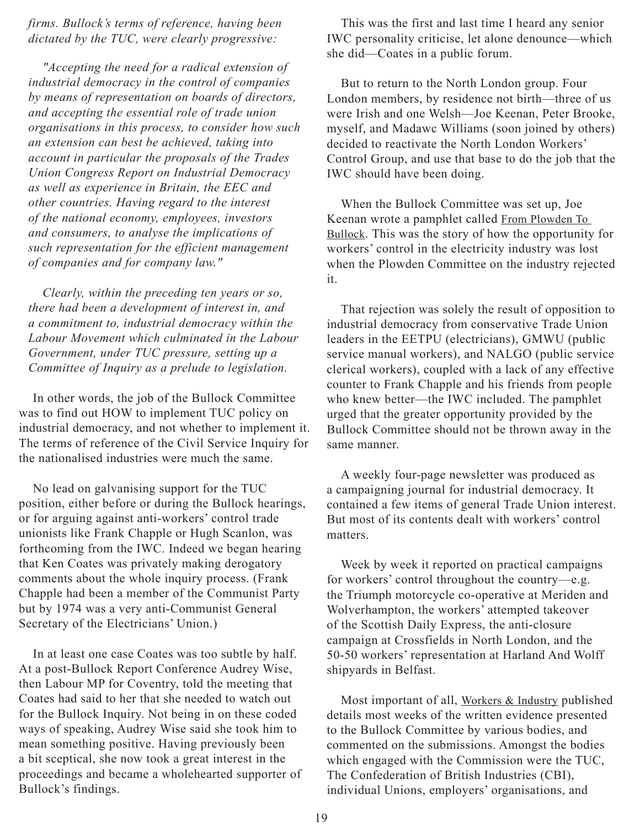*firms. Bullock's terms of reference, having been dictated by the TUC, were clearly progressive:*

*"Accepting the need for a radical extension of industrial democracy in the control of companies by means of representation on boards of directors, and accepting the essential role of trade union organisations in this process, to consider how such an extension can best be achieved, taking into account in particular the proposals of the Trades Union Congress Report on Industrial Democracy as well as experience in Britain, the EEC and other countries. Having regard to the interest of the national economy, employees, investors and consumers, to analyse the implications of such representation for the efficient management of companies and for company law."*

*Clearly, within the preceding ten years or so, there had been a development of interest in, and a commitment to, industrial democracy within the Labour Movement which culminated in the Labour Government, under TUC pressure, setting up a Committee of Inquiry as a prelude to legislation.*

In other words, the job of the Bullock Committee was to find out HOW to implement TUC policy on industrial democracy, and not whether to implement it. The terms of reference of the Civil Service Inquiry for the nationalised industries were much the same.

No lead on galvanising support for the TUC position, either before or during the Bullock hearings, or for arguing against anti-workers' control trade unionists like Frank Chapple or Hugh Scanlon, was forthcoming from the IWC. Indeed we began hearing that Ken Coates was privately making derogatory comments about the whole inquiry process. (Frank Chapple had been a member of the Communist Party but by 1974 was a very anti-Communist General Secretary of the Electricians' Union.)

In at least one case Coates was too subtle by half. At a post-Bullock Report Conference Audrey Wise, then Labour MP for Coventry, told the meeting that Coates had said to her that she needed to watch out for the Bullock Inquiry. Not being in on these coded ways of speaking, Audrey Wise said she took him to mean something positive. Having previously been a bit sceptical, she now took a great interest in the proceedings and became a wholehearted supporter of Bullock's findings.

This was the first and last time I heard any senior IWC personality criticise, let alone denounce—which she did—Coates in a public forum.

But to return to the North London group. Four London members, by residence not birth—three of us were Irish and one Welsh—Joe Keenan, Peter Brooke, myself, and Madawc Williams (soon joined by others) decided to reactivate the North London Workers' Control Group, and use that base to do the job that the IWC should have been doing.

When the Bullock Committee was set up, Joe Keenan wrote a pamphlet called From Plowden To Bullock. This was the story of how the opportunity for workers' control in the electricity industry was lost when the Plowden Committee on the industry rejected it.

That rejection was solely the result of opposition to industrial democracy from conservative Trade Union leaders in the EETPU (electricians), GMWU (public service manual workers), and NALGO (public service clerical workers), coupled with a lack of any effective counter to Frank Chapple and his friends from people who knew better—the IWC included. The pamphlet urged that the greater opportunity provided by the Bullock Committee should not be thrown away in the same manner.

A weekly four-page newsletter was produced as a campaigning journal for industrial democracy. It contained a few items of general Trade Union interest. But most of its contents dealt with workers' control matters.

Week by week it reported on practical campaigns for workers' control throughout the country—e.g. the Triumph motorcycle co-operative at Meriden and Wolverhampton, the workers' attempted takeover of the Scottish Daily Express, the anti-closure campaign at Crossfields in North London, and the 50-50 workers' representation at Harland And Wolff shipyards in Belfast.

Most important of all, Workers & Industry published details most weeks of the written evidence presented to the Bullock Committee by various bodies, and commented on the submissions. Amongst the bodies which engaged with the Commission were the TUC, The Confederation of British Industries (CBI), individual Unions, employers' organisations, and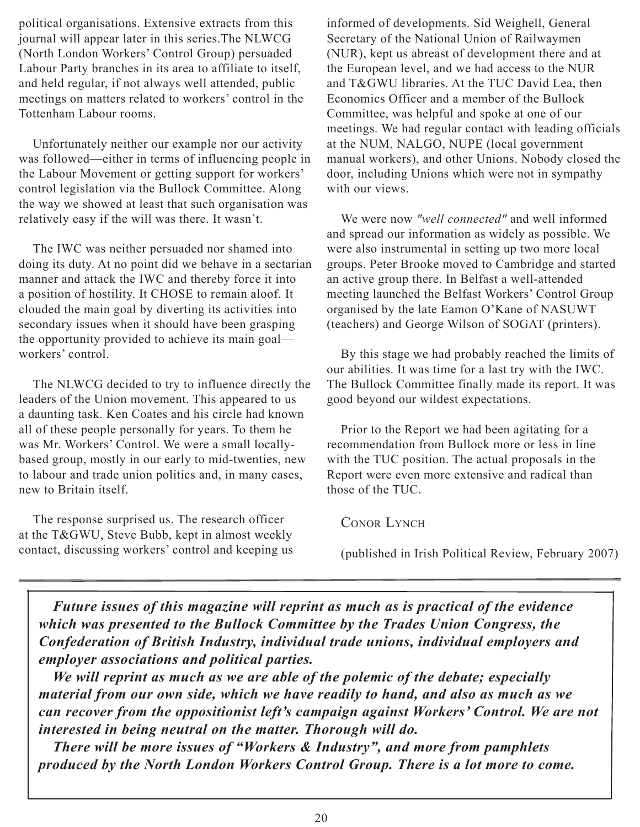political organisations. Extensive extracts from this journal will appear later in this series.The NLWCG (North London Workers' Control Group) persuaded Labour Party branches in its area to affiliate to itself, and held regular, if not always well attended, public meetings on matters related to workers' control in the Tottenham Labour rooms.

Unfortunately neither our example nor our activity was followed—either in terms of influencing people in the Labour Movement or getting support for workers' control legislation via the Bullock Committee. Along the way we showed at least that such organisation was relatively easy if the will was there. It wasn't.

The IWC was neither persuaded nor shamed into doing its duty. At no point did we behave in a sectarian manner and attack the IWC and thereby force it into a position of hostility. It CHOSE to remain aloof. It clouded the main goal by diverting its activities into secondary issues when it should have been grasping the opportunity provided to achieve its main goal workers' control.

The NLWCG decided to try to influence directly the leaders of the Union movement. This appeared to us a daunting task. Ken Coates and his circle had known all of these people personally for years. To them he was Mr. Workers' Control. We were a small locallybased group, mostly in our early to mid-twenties, new to labour and trade union politics and, in many cases, new to Britain itself.

The response surprised us. The research officer at the T&GWU, Steve Bubb, kept in almost weekly contact, discussing workers' control and keeping us informed of developments. Sid Weighell, General Secretary of the National Union of Railwaymen (NUR), kept us abreast of development there and at the European level, and we had access to the NUR and T&GWU libraries. At the TUC David Lea, then Economics Officer and a member of the Bullock Committee, was helpful and spoke at one of our meetings. We had regular contact with leading officials at the NUM, NALGO, NUPE (local government manual workers), and other Unions. Nobody closed the door, including Unions which were not in sympathy with our views

We were now *"well connected"* and well informed and spread our information as widely as possible. We were also instrumental in setting up two more local groups. Peter Brooke moved to Cambridge and started an active group there. In Belfast a well-attended meeting launched the Belfast Workers' Control Group organised by the late Eamon O'Kane of NASUWT (teachers) and George Wilson of SOGAT (printers).

By this stage we had probably reached the limits of our abilities. It was time for a last try with the IWC. The Bullock Committee finally made its report. It was good beyond our wildest expectations.

Prior to the Report we had been agitating for a recommendation from Bullock more or less in line with the TUC position. The actual proposals in the Report were even more extensive and radical than those of the TUC.

CONOR LYNCH

(published in Irish Political Review, February 2007)

*Future issues of this magazine will reprint as much as is practical of the evidence which was presented to the Bullock Committee by the Trades Union Congress, the Confederation of British Industry, individual trade unions, individual employers and employer associations and political parties.*

*We will reprint as much as we are able of the polemic of the debate; especially material from our own side, which we have readily to hand, and also as much as we can recover from the oppositionist left's campaign against Workers' Control. We are not interested in being neutral on the matter. Thorough will do.*

*There will be more issues of "Workers & Industry", and more from pamphlets produced by the North London Workers Control Group. There is a lot more to come.*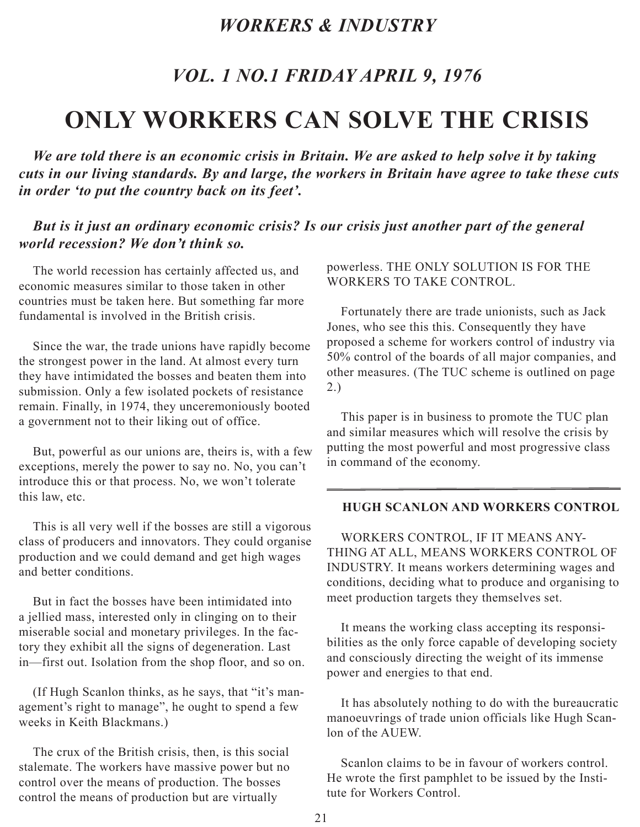## *Workers & Industry*

## *Vol. 1 No.1 Friday April 9, 1976*

# <span id="page-20-0"></span>**ONLY WORKERS CAN SOLVE THE CRISIS**

*We are told there is an economic crisis in Britain. We are asked to help solve it by taking cuts in our living standards. By and large, the workers in Britain have agree to take these cuts in order 'to put the country back on its feet'.*

#### *But is it just an ordinary economic crisis? Is our crisis just another part of the general world recession? We don't think so.*

The world recession has certainly affected us, and economic measures similar to those taken in other countries must be taken here. But something far more fundamental is involved in the British crisis.

Since the war, the trade unions have rapidly become the strongest power in the land. At almost every turn they have intimidated the bosses and beaten them into submission. Only a few isolated pockets of resistance remain. Finally, in 1974, they unceremoniously booted a government not to their liking out of office.

But, powerful as our unions are, theirs is, with a few exceptions, merely the power to say no. No, you can't introduce this or that process. No, we won't tolerate this law, etc.

This is all very well if the bosses are still a vigorous class of producers and innovators. They could organise production and we could demand and get high wages and better conditions.

But in fact the bosses have been intimidated into a jellied mass, interested only in clinging on to their miserable social and monetary privileges. In the factory they exhibit all the signs of degeneration. Last in—first out. Isolation from the shop floor, and so on.

(If Hugh Scanlon thinks, as he says, that "it's management's right to manage", he ought to spend a few weeks in Keith Blackmans.)

The crux of the British crisis, then, is this social stalemate. The workers have massive power but no control over the means of production. The bosses control the means of production but are virtually

#### powerless. THE ONLY SOLUTION IS FOR THE WORKERS TO TAKE CONTROL.

Fortunately there are trade unionists, such as Jack Jones, who see this this. Consequently they have proposed a scheme for workers control of industry via 50% control of the boards of all major companies, and other measures. (The TUC scheme is outlined on page 2.)

This paper is in business to promote the TUC plan and similar measures which will resolve the crisis by putting the most powerful and most progressive class in command of the economy.

#### **HUGH SCANLON AND WORKERS CONTROL**

WORKERS CONTROL, IF IT MEANS ANY-THING AT ALL, MEANS WORKERS CONTROL OF INDUSTRY. It means workers determining wages and conditions, deciding what to produce and organising to meet production targets they themselves set.

It means the working class accepting its responsibilities as the only force capable of developing society and consciously directing the weight of its immense power and energies to that end.

It has absolutely nothing to do with the bureaucratic manoeuvrings of trade union officials like Hugh Scanlon of the AUEW.

Scanlon claims to be in favour of workers control. He wrote the first pamphlet to be issued by the Institute for Workers Control.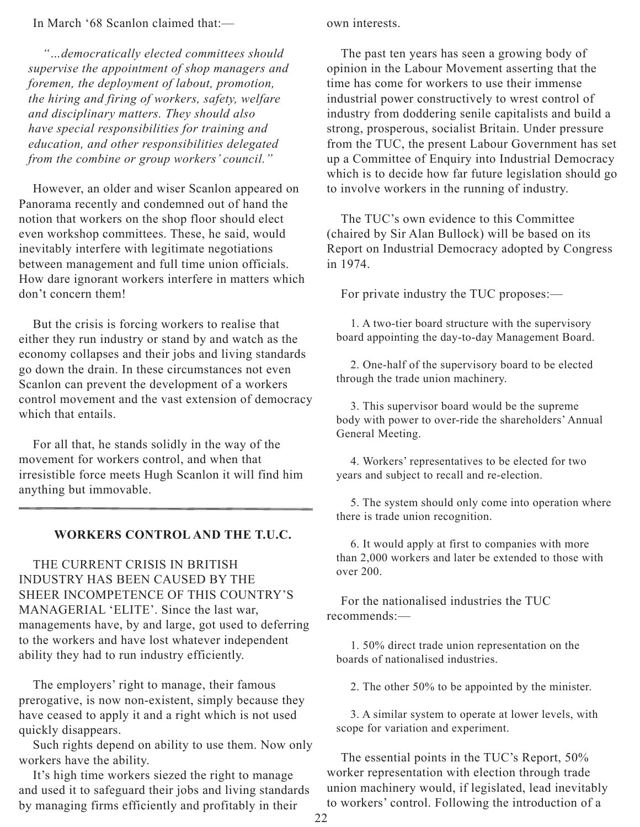#### In March '68 Scanlon claimed that:—

*"…democratically elected committees should supervise the appointment of shop managers and foremen, the deployment of labout, promotion, the hiring and firing of workers, safety, welfare and disciplinary matters. They should also have special responsibilities for training and education, and other responsibilities delegated from the combine or group workers' council."*

However, an older and wiser Scanlon appeared on Panorama recently and condemned out of hand the notion that workers on the shop floor should elect even workshop committees. These, he said, would inevitably interfere with legitimate negotiations between management and full time union officials. How dare ignorant workers interfere in matters which don't concern them!

But the crisis is forcing workers to realise that either they run industry or stand by and watch as the economy collapses and their jobs and living standards go down the drain. In these circumstances not even Scanlon can prevent the development of a workers control movement and the vast extension of democracy which that entails

For all that, he stands solidly in the way of the movement for workers control, and when that irresistible force meets Hugh Scanlon it will find him anything but immovable.

#### **WORKERS CONTROL AND THE T.U.C.**

THE CURRENT CRISIS IN BRITISH INDUSTRY HAS BEEN CAUSED BY THE SHEER INCOMPETENCE OF THIS COUNTRY'S MANAGERIAL 'ELITE'. Since the last war, managements have, by and large, got used to deferring to the workers and have lost whatever independent ability they had to run industry efficiently.

The employers' right to manage, their famous prerogative, is now non-existent, simply because they have ceased to apply it and a right which is not used quickly disappears.

Such rights depend on ability to use them. Now only workers have the ability.

It's high time workers siezed the right to manage and used it to safeguard their jobs and living standards by managing firms efficiently and profitably in their

own interests.

The past ten years has seen a growing body of opinion in the Labour Movement asserting that the time has come for workers to use their immense industrial power constructively to wrest control of industry from doddering senile capitalists and build a strong, prosperous, socialist Britain. Under pressure from the TUC, the present Labour Government has set up a Committee of Enquiry into Industrial Democracy which is to decide how far future legislation should go to involve workers in the running of industry.

The TUC's own evidence to this Committee (chaired by Sir Alan Bullock) will be based on its Report on Industrial Democracy adopted by Congress in 1974.

For private industry the TUC proposes:—

1. A two-tier board structure with the supervisory board appointing the day-to-day Management Board.

2. One-half of the supervisory board to be elected through the trade union machinery.

3. This supervisor board would be the supreme body with power to over-ride the shareholders' Annual General Meeting.

4. Workers' representatives to be elected for two years and subject to recall and re-election.

5. The system should only come into operation where there is trade union recognition.

6. It would apply at first to companies with more than 2,000 workers and later be extended to those with over 200.

For the nationalised industries the TUC recommends:—

1. 50% direct trade union representation on the boards of nationalised industries.

2. The other 50% to be appointed by the minister.

3. A similar system to operate at lower levels, with scope for variation and experiment.

The essential points in the TUC's Report, 50% worker representation with election through trade union machinery would, if legislated, lead inevitably to workers' control. Following the introduction of a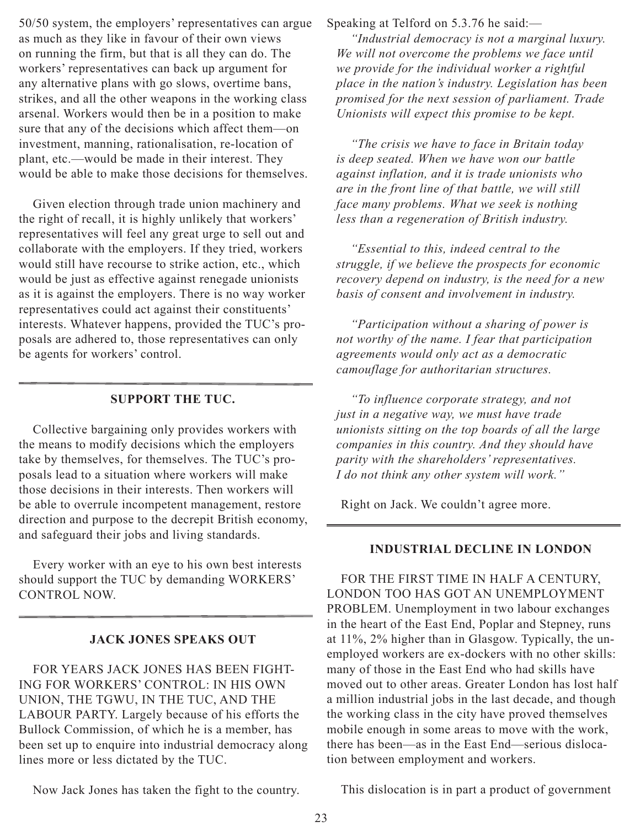50/50 system, the employers' representatives can argue as much as they like in favour of their own views on running the firm, but that is all they can do. The workers' representatives can back up argument for any alternative plans with go slows, overtime bans, strikes, and all the other weapons in the working class arsenal. Workers would then be in a position to make sure that any of the decisions which affect them—on investment, manning, rationalisation, re-location of plant, etc.—would be made in their interest. They would be able to make those decisions for themselves.

Given election through trade union machinery and the right of recall, it is highly unlikely that workers' representatives will feel any great urge to sell out and collaborate with the employers. If they tried, workers would still have recourse to strike action, etc., which would be just as effective against renegade unionists as it is against the employers. There is no way worker representatives could act against their constituents' interests. Whatever happens, provided the TUC's proposals are adhered to, those representatives can only be agents for workers' control.

#### **SUPPORT THE TUC.**

Collective bargaining only provides workers with the means to modify decisions which the employers take by themselves, for themselves. The TUC's proposals lead to a situation where workers will make those decisions in their interests. Then workers will be able to overrule incompetent management, restore direction and purpose to the decrepit British economy, and safeguard their jobs and living standards.

Every worker with an eye to his own best interests should support the TUC by demanding WORKERS' CONTROL NOW.

#### **JACK JONES SPEAKS OUT**

FOR YEARS JACK JONES HAS BEEN FIGHT-ING FOR WORKERS' CONTROL: IN HIS OWN UNION, THE TGWU, IN THE TUC, AND THE LABOUR PARTY. Largely because of his efforts the Bullock Commission, of which he is a member, has been set up to enquire into industrial democracy along lines more or less dictated by the TUC.

Now Jack Jones has taken the fight to the country.

Speaking at Telford on 5.3.76 he said:—

*"Industrial democracy is not a marginal luxury. We will not overcome the problems we face until we provide for the individual worker a rightful place in the nation's industry. Legislation has been promised for the next session of parliament. Trade Unionists will expect this promise to be kept.*

*"The crisis we have to face in Britain today is deep seated. When we have won our battle against inflation, and it is trade unionists who are in the front line of that battle, we will still face many problems. What we seek is nothing less than a regeneration of British industry.*

*"Essential to this, indeed central to the struggle, if we believe the prospects for economic recovery depend on industry, is the need for a new basis of consent and involvement in industry.*

*"Participation without a sharing of power is not worthy of the name. I fear that participation agreements would only act as a democratic camouflage for authoritarian structures.*

*"To influence corporate strategy, and not just in a negative way, we must have trade unionists sitting on the top boards of all the large companies in this country. And they should have parity with the shareholders' representatives. I do not think any other system will work."*

Right on Jack. We couldn't agree more.

#### **INDUSTRIAL DECLINE IN LONDON**

FOR THE FIRST TIME IN HALF A CENTURY, LONDON TOO HAS GOT AN UNEMPLOYMENT PROBLEM. Unemployment in two labour exchanges in the heart of the East End, Poplar and Stepney, runs at 11%, 2% higher than in Glasgow. Typically, the unemployed workers are ex-dockers with no other skills: many of those in the East End who had skills have moved out to other areas. Greater London has lost half a million industrial jobs in the last decade, and though the working class in the city have proved themselves mobile enough in some areas to move with the work, there has been—as in the East End—serious dislocation between employment and workers.

This dislocation is in part a product of government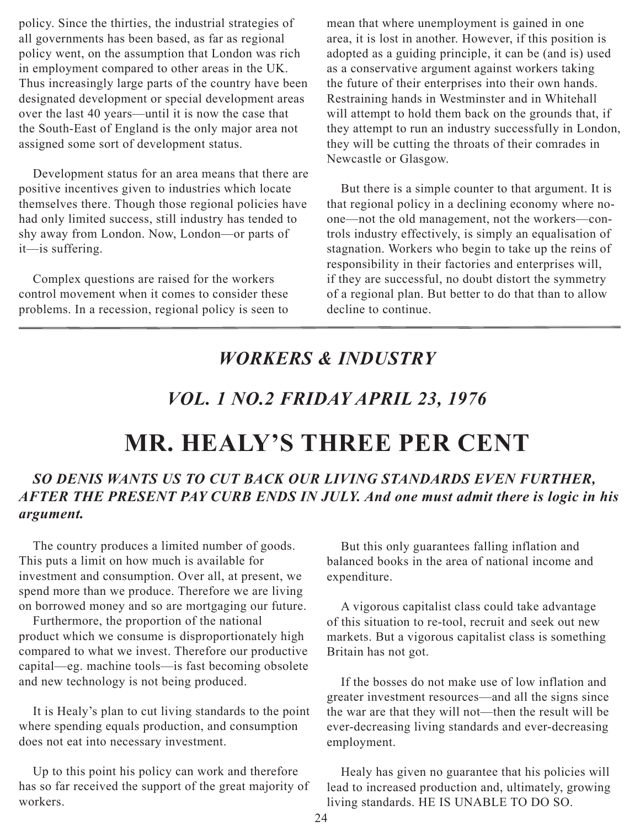<span id="page-23-0"></span>policy. Since the thirties, the industrial strategies of all governments has been based, as far as regional policy went, on the assumption that London was rich in employment compared to other areas in the UK. Thus increasingly large parts of the country have been designated development or special development areas over the last 40 years—until it is now the case that the South-East of England is the only major area not assigned some sort of development status.

Development status for an area means that there are positive incentives given to industries which locate themselves there. Though those regional policies have had only limited success, still industry has tended to shy away from London. Now, London—or parts of it—is suffering.

Complex questions are raised for the workers control movement when it comes to consider these problems. In a recession, regional policy is seen to

mean that where unemployment is gained in one area, it is lost in another. However, if this position is adopted as a guiding principle, it can be (and is) used as a conservative argument against workers taking the future of their enterprises into their own hands. Restraining hands in Westminster and in Whitehall will attempt to hold them back on the grounds that, if they attempt to run an industry successfully in London, they will be cutting the throats of their comrades in Newcastle or Glasgow.

But there is a simple counter to that argument. It is that regional policy in a declining economy where noone—not the old management, not the workers—controls industry effectively, is simply an equalisation of stagnation. Workers who begin to take up the reins of responsibility in their factories and enterprises will, if they are successful, no doubt distort the symmetry of a regional plan. But better to do that than to allow decline to continue.

## *Workers & Industry*

## *Vol. 1 No.2 Friday April 23, 1976*

# **MR. HEALY'S THREE PER CENT**

### *SO DENIS WANTS US TO CUT BACK OUR LIVING STANDARDS EVEN FURTHER, AFTER THE PRESENT PAY CURB ENDS IN JULY. And one must admit there is logic in his argument.*

The country produces a limited number of goods. This puts a limit on how much is available for investment and consumption. Over all, at present, we spend more than we produce. Therefore we are living on borrowed money and so are mortgaging our future.

Furthermore, the proportion of the national product which we consume is disproportionately high compared to what we invest. Therefore our productive capital—eg. machine tools—is fast becoming obsolete and new technology is not being produced.

It is Healy's plan to cut living standards to the point where spending equals production, and consumption does not eat into necessary investment.

Up to this point his policy can work and therefore has so far received the support of the great majority of workers.

But this only guarantees falling inflation and balanced books in the area of national income and expenditure.

A vigorous capitalist class could take advantage of this situation to re-tool, recruit and seek out new markets. But a vigorous capitalist class is something Britain has not got.

If the bosses do not make use of low inflation and greater investment resources—and all the signs since the war are that they will not—then the result will be ever-decreasing living standards and ever-decreasing employment.

Healy has given no guarantee that his policies will lead to increased production and, ultimately, growing living standards. HE IS UNABLE TO DO SO.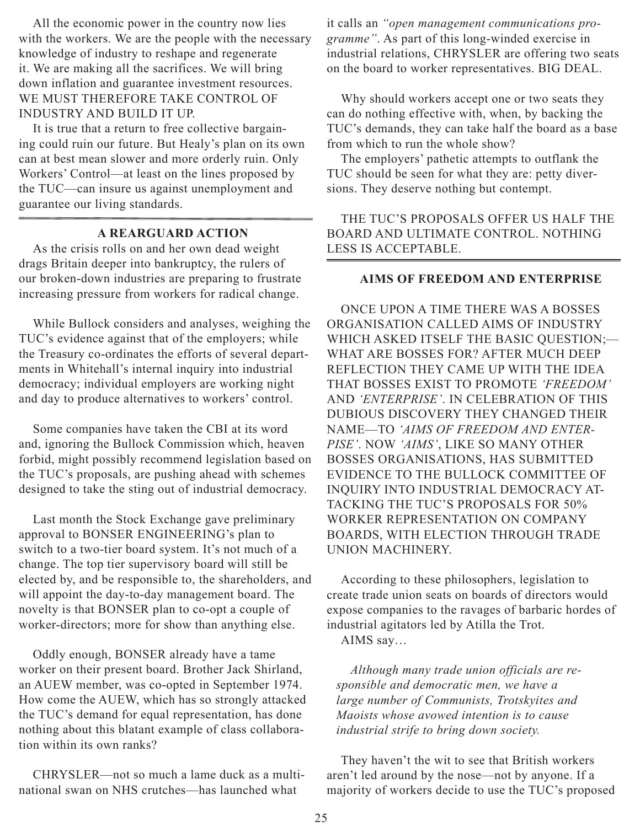All the economic power in the country now lies with the workers. We are the people with the necessary knowledge of industry to reshape and regenerate it. We are making all the sacrifices. We will bring down inflation and guarantee investment resources. WE MUST THEREFORE TAKE CONTROL OF INDUSTRY AND BUILD IT UP.

It is true that a return to free collective bargaining could ruin our future. But Healy's plan on its own can at best mean slower and more orderly ruin. Only Workers' Control—at least on the lines proposed by the TUC—can insure us against unemployment and guarantee our living standards.

#### **A REARGUARD ACTION**

As the crisis rolls on and her own dead weight drags Britain deeper into bankruptcy, the rulers of our broken-down industries are preparing to frustrate increasing pressure from workers for radical change.

While Bullock considers and analyses, weighing the TUC's evidence against that of the employers; while the Treasury co-ordinates the efforts of several departments in Whitehall's internal inquiry into industrial democracy; individual employers are working night and day to produce alternatives to workers' control.

Some companies have taken the CBI at its word and, ignoring the Bullock Commission which, heaven forbid, might possibly recommend legislation based on the TUC's proposals, are pushing ahead with schemes designed to take the sting out of industrial democracy.

Last month the Stock Exchange gave preliminary approval to BONSER ENGINEERING's plan to switch to a two-tier board system. It's not much of a change. The top tier supervisory board will still be elected by, and be responsible to, the shareholders, and will appoint the day-to-day management board. The novelty is that BONSER plan to co-opt a couple of worker-directors; more for show than anything else.

Oddly enough, BONSER already have a tame worker on their present board. Brother Jack Shirland, an AUEW member, was co-opted in September 1974. How come the AUEW, which has so strongly attacked the TUC's demand for equal representation, has done nothing about this blatant example of class collaboration within its own ranks?

CHRYSLER—not so much a lame duck as a multinational swan on NHS crutches—has launched what

it calls an *"open management communications programme"*. As part of this long-winded exercise in industrial relations, CHRYSLER are offering two seats on the board to worker representatives. BIG DEAL.

Why should workers accept one or two seats they can do nothing effective with, when, by backing the TUC's demands, they can take half the board as a base from which to run the whole show?

The employers' pathetic attempts to outflank the TUC should be seen for what they are: petty diversions. They deserve nothing but contempt.

THE TUC'S PROPOSALS OFFER US HALF THE BOARD AND ULTIMATE CONTROL. NOTHING LESS IS ACCEPTABLE.

#### **AIMS OF FREEDOM AND ENTERPRISE**

ONCE UPON A TIME THERE WAS A BOSSES ORGANISATION CALLED AIMS OF INDUSTRY WHICH ASKED ITSELF THE BASIC QUESTION;— WHAT ARE BOSSES FOR? AFTER MUCH DEEP REFLECTION THEY CAME UP WITH THE IDEA THAT BOSSES EXIST TO PROMOTE *'FREEDOM'* AND *'ENTERPRISE'*. IN CELEBRATION OF THIS DUBIOUS DISCOVERY THEY CHANGED THEIR NAME—TO *'AIMS OF FREEDOM AND ENTER-PISE'*. NOW *'AIMS'*, LIKE SO MANY OTHER BOSSES ORGANISATIONS, HAS SUBMITTED EVIDENCE TO THE BULLOCK COMMITTEE OF INQUIRY INTO INDUSTRIAL DEMOCRACY AT-TACKING THE TUC'S PROPOSALS FOR 50% WORKER REPRESENTATION ON COMPANY BOARDS, WITH ELECTION THROUGH TRADE UNION MACHINERY.

According to these philosophers, legislation to create trade union seats on boards of directors would expose companies to the ravages of barbaric hordes of industrial agitators led by Atilla the Trot.

AIMS say…

*Although many trade union officials are responsible and democratic men, we have a large number of Communists, Trotskyites and Maoists whose avowed intention is to cause industrial strife to bring down society.*

They haven't the wit to see that British workers aren't led around by the nose—not by anyone. If a majority of workers decide to use the TUC's proposed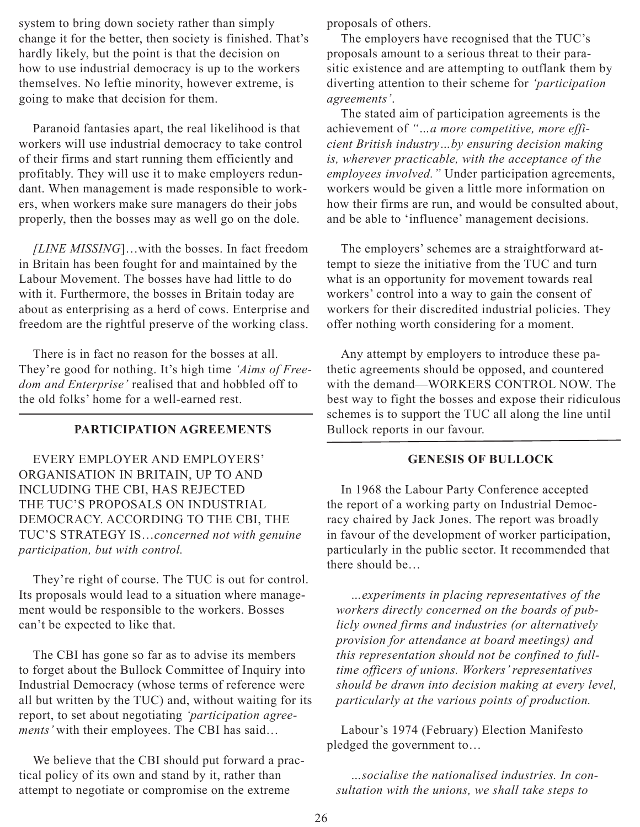system to bring down society rather than simply change it for the better, then society is finished. That's hardly likely, but the point is that the decision on how to use industrial democracy is up to the workers themselves. No leftie minority, however extreme, is going to make that decision for them.

Paranoid fantasies apart, the real likelihood is that workers will use industrial democracy to take control of their firms and start running them efficiently and profitably. They will use it to make employers redundant. When management is made responsible to workers, when workers make sure managers do their jobs properly, then the bosses may as well go on the dole.

*[LINE MISSING*]…with the bosses. In fact freedom in Britain has been fought for and maintained by the Labour Movement. The bosses have had little to do with it. Furthermore, the bosses in Britain today are about as enterprising as a herd of cows. Enterprise and freedom are the rightful preserve of the working class.

There is in fact no reason for the bosses at all. They're good for nothing. It's high time *'Aims of Freedom and Enterprise'* realised that and hobbled off to the old folks' home for a well-earned rest.

#### **PARTICIPATION AGREEMENTS**

EVERY EMPLOYER AND EMPLOYERS' ORGANISATION IN BRITAIN, UP TO AND INCLUDING THE CBI, HAS REJECTED THE TUC'S PROPOSALS ON INDUSTRIAL DEMOCRACY. ACCORDING TO THE CBI, THE TUC'S STRATEGY IS…*concerned not with genuine participation, but with control.*

They're right of course. The TUC is out for control. Its proposals would lead to a situation where management would be responsible to the workers. Bosses can't be expected to like that.

The CBI has gone so far as to advise its members to forget about the Bullock Committee of Inquiry into Industrial Democracy (whose terms of reference were all but written by the TUC) and, without waiting for its report, to set about negotiating *'participation agreements'* with their employees. The CBI has said…

We believe that the CBI should put forward a practical policy of its own and stand by it, rather than attempt to negotiate or compromise on the extreme

proposals of others.

The employers have recognised that the TUC's proposals amount to a serious threat to their parasitic existence and are attempting to outflank them by diverting attention to their scheme for *'participation agreements'*.

The stated aim of participation agreements is the achievement of *"…a more competitive, more efficient British industry…by ensuring decision making is, wherever practicable, with the acceptance of the employees involved."* Under participation agreements, workers would be given a little more information on how their firms are run, and would be consulted about, and be able to 'influence' management decisions.

The employers' schemes are a straightforward attempt to sieze the initiative from the TUC and turn what is an opportunity for movement towards real workers' control into a way to gain the consent of workers for their discredited industrial policies. They offer nothing worth considering for a moment.

Any attempt by employers to introduce these pathetic agreements should be opposed, and countered with the demand—WORKERS CONTROL NOW. The best way to fight the bosses and expose their ridiculous schemes is to support the TUC all along the line until Bullock reports in our favour.

#### **GENESIS OF BULLOCK**

In 1968 the Labour Party Conference accepted the report of a working party on Industrial Democracy chaired by Jack Jones. The report was broadly in favour of the development of worker participation, particularly in the public sector. It recommended that there should be…

*…experiments in placing representatives of the workers directly concerned on the boards of publicly owned firms and industries (or alternatively provision for attendance at board meetings) and this representation should not be confined to fulltime officers of unions. Workers' representatives should be drawn into decision making at every level, particularly at the various points of production.*

Labour's 1974 (February) Election Manifesto pledged the government to…

*…socialise the nationalised industries. In consultation with the unions, we shall take steps to*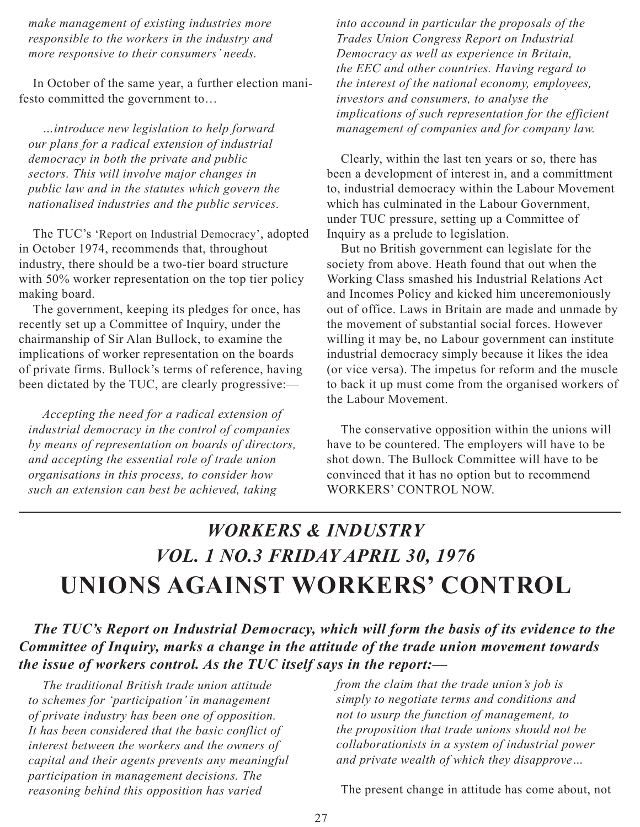<span id="page-26-0"></span>*make management of existing industries more responsible to the workers in the industry and more responsive to their consumers' needs.*

In October of the same year, a further election manifesto committed the government to…

*…introduce new legislation to help forward our plans for a radical extension of industrial democracy in both the private and public sectors. This will involve major changes in public law and in the statutes which govern the nationalised industries and the public services.*

The TUC's 'Report on Industrial Democracy', adopted in October 1974, recommends that, throughout industry, there should be a two-tier board structure with 50% worker representation on the top tier policy making board.

The government, keeping its pledges for once, has recently set up a Committee of Inquiry, under the chairmanship of Sir Alan Bullock, to examine the implications of worker representation on the boards of private firms. Bullock's terms of reference, having been dictated by the TUC, are clearly progressive:—

*Accepting the need for a radical extension of industrial democracy in the control of companies by means of representation on boards of directors, and accepting the essential role of trade union organisations in this process, to consider how such an extension can best be achieved, taking* 

*into accound in particular the proposals of the Trades Union Congress Report on Industrial Democracy as well as experience in Britain, the EEC and other countries. Having regard to the interest of the national economy, employees, investors and consumers, to analyse the implications of such representation for the efficient management of companies and for company law.*

Clearly, within the last ten years or so, there has been a development of interest in, and a committment to, industrial democracy within the Labour Movement which has culminated in the Labour Government, under TUC pressure, setting up a Committee of Inquiry as a prelude to legislation.

But no British government can legislate for the society from above. Heath found that out when the Working Class smashed his Industrial Relations Act and Incomes Policy and kicked him unceremoniously out of office. Laws in Britain are made and unmade by the movement of substantial social forces. However willing it may be, no Labour government can institute industrial democracy simply because it likes the idea (or vice versa). The impetus for reform and the muscle to back it up must come from the organised workers of the Labour Movement.

The conservative opposition within the unions will have to be countered. The employers will have to be shot down. The Bullock Committee will have to be convinced that it has no option but to recommend WORKERS' CONTROL NOW.

## *Workers & Industry Vol. 1 No.3 Friday April 30, 1976* **Unions Against Workers' Control**

*The TUC's Report on Industrial Democracy, which will form the basis of its evidence to the Committee of Inquiry, marks a change in the attitude of the trade union movement towards the issue of workers control. As the TUC itself says in the report:—* 

*The traditional British trade union attitude to schemes for 'participation' in management of private industry has been one of opposition. It has been considered that the basic conflict of interest between the workers and the owners of capital and their agents prevents any meaningful participation in management decisions. The reasoning behind this opposition has varied* 

*from the claim that the trade union's job is simply to negotiate terms and conditions and not to usurp the function of management, to the proposition that trade unions should not be collaborationists in a system of industrial power and private wealth of which they disapprove…*

The present change in attitude has come about, not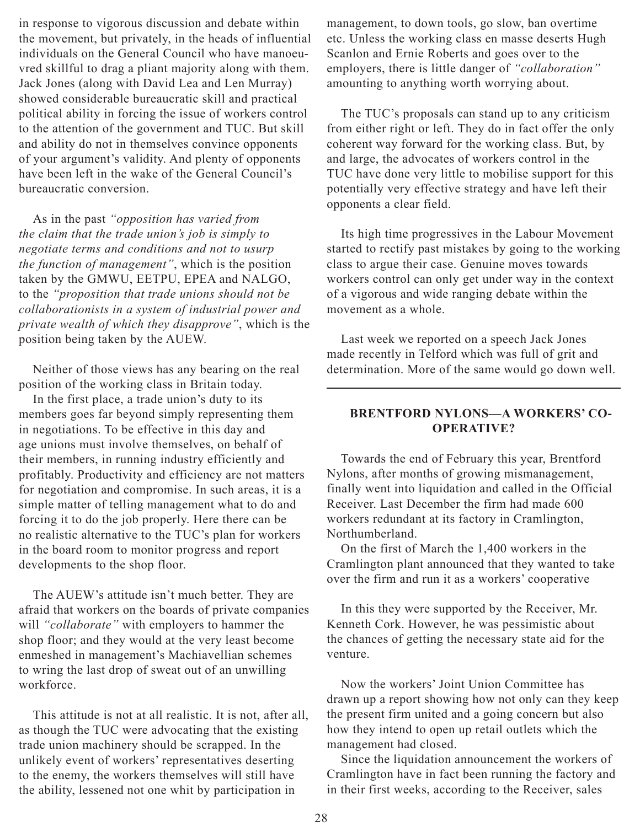in response to vigorous discussion and debate within the movement, but privately, in the heads of influential individuals on the General Council who have manoeuvred skillful to drag a pliant majority along with them. Jack Jones (along with David Lea and Len Murray) showed considerable bureaucratic skill and practical political ability in forcing the issue of workers control to the attention of the government and TUC. But skill and ability do not in themselves convince opponents of your argument's validity. And plenty of opponents have been left in the wake of the General Council's bureaucratic conversion.

As in the past *"opposition has varied from the claim that the trade union's job is simply to negotiate terms and conditions and not to usurp the function of management"*, which is the position taken by the GMWU, EETPU, EPEA and NALGO, to the *"proposition that trade unions should not be collaborationists in a system of industrial power and private wealth of which they disapprove"*, which is the position being taken by the AUEW.

Neither of those views has any bearing on the real position of the working class in Britain today.

In the first place, a trade union's duty to its members goes far beyond simply representing them in negotiations. To be effective in this day and age unions must involve themselves, on behalf of their members, in running industry efficiently and profitably. Productivity and efficiency are not matters for negotiation and compromise. In such areas, it is a simple matter of telling management what to do and forcing it to do the job properly. Here there can be no realistic alternative to the TUC's plan for workers in the board room to monitor progress and report developments to the shop floor.

The AUEW's attitude isn't much better. They are afraid that workers on the boards of private companies will *"collaborate"* with employers to hammer the shop floor; and they would at the very least become enmeshed in management's Machiavellian schemes to wring the last drop of sweat out of an unwilling workforce.

This attitude is not at all realistic. It is not, after all, as though the TUC were advocating that the existing trade union machinery should be scrapped. In the unlikely event of workers' representatives deserting to the enemy, the workers themselves will still have the ability, lessened not one whit by participation in

management, to down tools, go slow, ban overtime etc. Unless the working class en masse deserts Hugh Scanlon and Ernie Roberts and goes over to the employers, there is little danger of *"collaboration"* amounting to anything worth worrying about.

The TUC's proposals can stand up to any criticism from either right or left. They do in fact offer the only coherent way forward for the working class. But, by and large, the advocates of workers control in the TUC have done very little to mobilise support for this potentially very effective strategy and have left their opponents a clear field.

Its high time progressives in the Labour Movement started to rectify past mistakes by going to the working class to argue their case. Genuine moves towards workers control can only get under way in the context of a vigorous and wide ranging debate within the movement as a whole.

Last week we reported on a speech Jack Jones made recently in Telford which was full of grit and determination. More of the same would go down well.

#### **BRENTFORD NYLONS—A WORKERS' CO-OPERATIVE?**

Towards the end of February this year, Brentford Nylons, after months of growing mismanagement, finally went into liquidation and called in the Official Receiver. Last December the firm had made 600 workers redundant at its factory in Cramlington, Northumberland.

On the first of March the 1,400 workers in the Cramlington plant announced that they wanted to take over the firm and run it as a workers' cooperative

In this they were supported by the Receiver, Mr. Kenneth Cork. However, he was pessimistic about the chances of getting the necessary state aid for the venture.

Now the workers' Joint Union Committee has drawn up a report showing how not only can they keep the present firm united and a going concern but also how they intend to open up retail outlets which the management had closed.

Since the liquidation announcement the workers of Cramlington have in fact been running the factory and in their first weeks, according to the Receiver, sales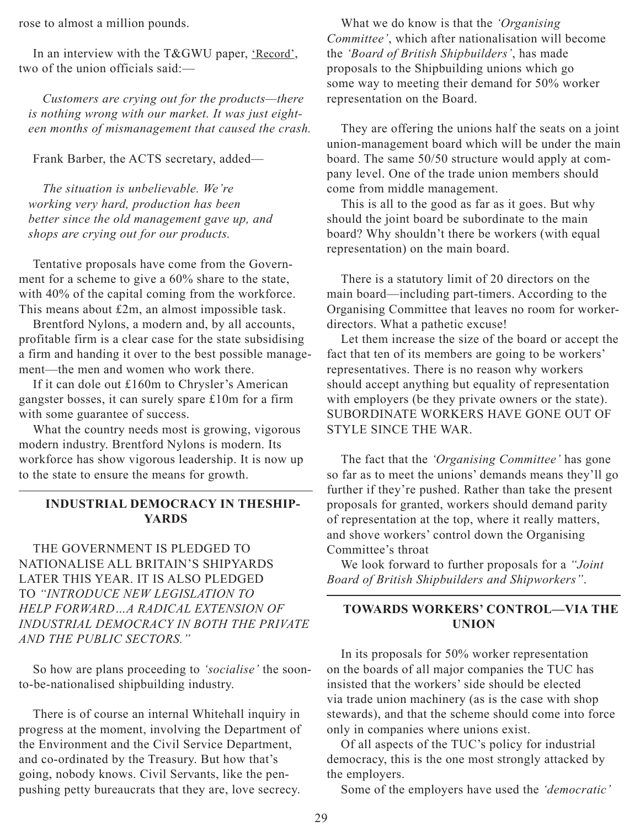rose to almost a million pounds.

In an interview with the T&GWU paper, 'Record', two of the union officials said:—

*Customers are crying out for the products—there is nothing wrong with our market. It was just eighteen months of mismanagement that caused the crash.*

Frank Barber, the ACTS secretary, added—

*The situation is unbelievable. We're working very hard, production has been better since the old management gave up, and shops are crying out for our products.*

Tentative proposals have come from the Government for a scheme to give a 60% share to the state, with 40% of the capital coming from the workforce. This means about £2m, an almost impossible task.

Brentford Nylons, a modern and, by all accounts, profitable firm is a clear case for the state subsidising a firm and handing it over to the best possible management—the men and women who work there.

If it can dole out £160m to Chrysler's American gangster bosses, it can surely spare £10m for a firm with some guarantee of success.

What the country needs most is growing, vigorous modern industry. Brentford Nylons is modern. Its workforce has show vigorous leadership. It is now up to the state to ensure the means for growth.

#### **INDUSTRIAL DEMOCRACY IN THESHIP-YARDS**

THE GOVERNMENT IS PLEDGED TO NATIONALISE ALL BRITAIN'S SHIPYARDS LATER THIS YEAR. IT IS ALSO PLEDGED TO *"INTRODUCE NEW LEGISLATION TO HELP FORWARD…A RADICAL EXTENSION OF INDUSTRIAL DEMOCRACY IN BOTH THE PRIVATE AND THE PUBLIC SECTORS."*

So how are plans proceeding to *'socialise'* the soonto-be-nationalised shipbuilding industry.

There is of course an internal Whitehall inquiry in progress at the moment, involving the Department of the Environment and the Civil Service Department, and co-ordinated by the Treasury. But how that's going, nobody knows. Civil Servants, like the penpushing petty bureaucrats that they are, love secrecy.

What we do know is that the *'Organising Committee'*, which after nationalisation will become the *'Board of British Shipbuilders'*, has made proposals to the Shipbuilding unions which go some way to meeting their demand for 50% worker representation on the Board.

They are offering the unions half the seats on a joint union-management board which will be under the main board. The same 50/50 structure would apply at company level. One of the trade union members should come from middle management.

This is all to the good as far as it goes. But why should the joint board be subordinate to the main board? Why shouldn't there be workers (with equal representation) on the main board.

There is a statutory limit of 20 directors on the main board—including part-timers. According to the Organising Committee that leaves no room for workerdirectors. What a pathetic excuse!

Let them increase the size of the board or accept the fact that ten of its members are going to be workers' representatives. There is no reason why workers should accept anything but equality of representation with employers (be they private owners or the state). SUBORDINATE WORKERS HAVE GONE OUT OF STYLE SINCE THE WAR.

The fact that the *'Organising Committee'* has gone so far as to meet the unions' demands means they'll go further if they're pushed. Rather than take the present proposals for granted, workers should demand parity of representation at the top, where it really matters, and shove workers' control down the Organising Committee's throat

We look forward to further proposals for a *"Joint Board of British Shipbuilders and Shipworkers"*.

#### **TOWARDS WORKERS' CONTROL—VIA THE UNION**

In its proposals for 50% worker representation on the boards of all major companies the TUC has insisted that the workers' side should be elected via trade union machinery (as is the case with shop stewards), and that the scheme should come into force only in companies where unions exist.

Of all aspects of the TUC's policy for industrial democracy, this is the one most strongly attacked by the employers.

Some of the employers have used the *'democratic'*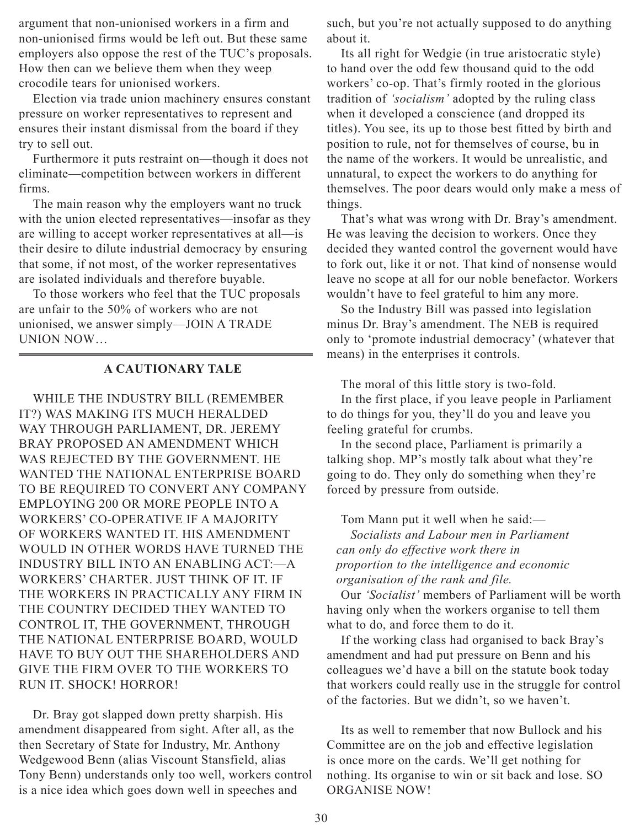argument that non-unionised workers in a firm and non-unionised firms would be left out. But these same employers also oppose the rest of the TUC's proposals. How then can we believe them when they weep crocodile tears for unionised workers.

Election via trade union machinery ensures constant pressure on worker representatives to represent and ensures their instant dismissal from the board if they try to sell out.

Furthermore it puts restraint on—though it does not eliminate—competition between workers in different firms.

The main reason why the employers want no truck with the union elected representatives—insofar as they are willing to accept worker representatives at all—is their desire to dilute industrial democracy by ensuring that some, if not most, of the worker representatives are isolated individuals and therefore buyable.

To those workers who feel that the TUC proposals are unfair to the 50% of workers who are not unionised, we answer simply—JOIN A TRADE UNION NOW…

#### **A CAUTIONARY TALE**

WHILE THE INDUSTRY BILL (REMEMBER IT?) WAS MAKING ITS MUCH HERALDED WAY THROUGH PARLIAMENT, DR. JEREMY BRAY PROPOSED AN AMENDMENT WHICH WAS REJECTED BY THE GOVERNMENT. HE WANTED THE NATIONAL ENTERPRISE BOARD TO BE REQUIRED TO CONVERT ANY COMPANY EMPLOYING 200 OR MORE PEOPLE INTO A WORKERS' CO-OPERATIVE IF A MAJORITY OF WORKERS WANTED IT. HIS AMENDMENT WOULD IN OTHER WORDS HAVE TURNED THE INDUSTRY BILL INTO AN ENABLING ACT:—A WORKERS' CHARTER. JUST THINK OF IT. IF THE WORKERS IN PRACTICALLY ANY FIRM IN THE COUNTRY DECIDED THEY WANTED TO CONTROL IT, THE GOVERNMENT, THROUGH THE NATIONAL ENTERPRISE BOARD, WOULD HAVE TO BUY OUT THE SHAREHOLDERS AND GIVE THE FIRM OVER TO THE WORKERS TO RUN IT. SHOCK! HORROR!

Dr. Bray got slapped down pretty sharpish. His amendment disappeared from sight. After all, as the then Secretary of State for Industry, Mr. Anthony Wedgewood Benn (alias Viscount Stansfield, alias Tony Benn) understands only too well, workers control is a nice idea which goes down well in speeches and

such, but you're not actually supposed to do anything about it.

Its all right for Wedgie (in true aristocratic style) to hand over the odd few thousand quid to the odd workers' co-op. That's firmly rooted in the glorious tradition of *'socialism'* adopted by the ruling class when it developed a conscience (and dropped its titles). You see, its up to those best fitted by birth and position to rule, not for themselves of course, bu in the name of the workers. It would be unrealistic, and unnatural, to expect the workers to do anything for themselves. The poor dears would only make a mess of things.

That's what was wrong with Dr. Bray's amendment. He was leaving the decision to workers. Once they decided they wanted control the governent would have to fork out, like it or not. That kind of nonsense would leave no scope at all for our noble benefactor. Workers wouldn't have to feel grateful to him any more.

So the Industry Bill was passed into legislation minus Dr. Bray's amendment. The NEB is required only to 'promote industrial democracy' (whatever that means) in the enterprises it controls.

The moral of this little story is two-fold.

In the first place, if you leave people in Parliament to do things for you, they'll do you and leave you feeling grateful for crumbs.

In the second place, Parliament is primarily a talking shop. MP's mostly talk about what they're going to do. They only do something when they're forced by pressure from outside.

Tom Mann put it well when he said:— *Socialists and Labour men in Parliament can only do effective work there in proportion to the intelligence and economic organisation of the rank and file.*

Our *'Socialist'* members of Parliament will be worth having only when the workers organise to tell them what to do, and force them to do it.

If the working class had organised to back Bray's amendment and had put pressure on Benn and his colleagues we'd have a bill on the statute book today that workers could really use in the struggle for control of the factories. But we didn't, so we haven't.

Its as well to remember that now Bullock and his Committee are on the job and effective legislation is once more on the cards. We'll get nothing for nothing. Its organise to win or sit back and lose. SO ORGANISE NOW!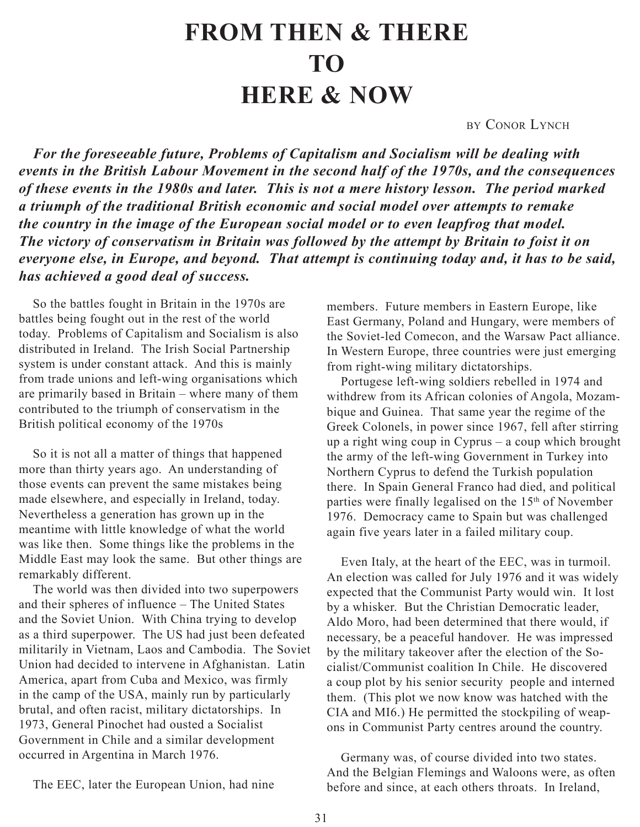# **From Then & There to Here & Now**

by CONOR LYNCH

<span id="page-30-0"></span>*For the foreseeable future, Problems of Capitalism and Socialism will be dealing with events in the British Labour Movement in the second half of the 1970s, and the consequences of these events in the 1980s and later. This is not a mere history lesson. The period marked a triumph of the traditional British economic and social model over attempts to remake the country in the image of the European social model or to even leapfrog that model. The victory of conservatism in Britain was followed by the attempt by Britain to foist it on everyone else, in Europe, and beyond. That attempt is continuing today and, it has to be said, has achieved a good deal of success.*

So the battles fought in Britain in the 1970s are battles being fought out in the rest of the world today. Problems of Capitalism and Socialism is also distributed in Ireland. The Irish Social Partnership system is under constant attack. And this is mainly from trade unions and left-wing organisations which are primarily based in Britain – where many of them contributed to the triumph of conservatism in the British political economy of the 1970s

So it is not all a matter of things that happened more than thirty years ago. An understanding of those events can prevent the same mistakes being made elsewhere, and especially in Ireland, today. Nevertheless a generation has grown up in the meantime with little knowledge of what the world was like then. Some things like the problems in the Middle East may look the same. But other things are remarkably different.

The world was then divided into two superpowers and their spheres of influence – The United States and the Soviet Union. With China trying to develop as a third superpower. The US had just been defeated militarily in Vietnam, Laos and Cambodia. The Soviet Union had decided to intervene in Afghanistan. Latin America, apart from Cuba and Mexico, was firmly in the camp of the USA, mainly run by particularly brutal, and often racist, military dictatorships. In 1973, General Pinochet had ousted a Socialist Government in Chile and a similar development occurred in Argentina in March 1976.

members. Future members in Eastern Europe, like East Germany, Poland and Hungary, were members of the Soviet-led Comecon, and the Warsaw Pact alliance. In Western Europe, three countries were just emerging from right-wing military dictatorships.

Portugese left-wing soldiers rebelled in 1974 and withdrew from its African colonies of Angola, Mozambique and Guinea. That same year the regime of the Greek Colonels, in power since 1967, fell after stirring up a right wing coup in Cyprus – a coup which brought the army of the left-wing Government in Turkey into Northern Cyprus to defend the Turkish population there. In Spain General Franco had died, and political parties were finally legalised on the 15<sup>th</sup> of November 1976. Democracy came to Spain but was challenged again five years later in a failed military coup.

Even Italy, at the heart of the EEC, was in turmoil. An election was called for July 1976 and it was widely expected that the Communist Party would win. It lost by a whisker. But the Christian Democratic leader, Aldo Moro, had been determined that there would, if necessary, be a peaceful handover. He was impressed by the military takeover after the election of the Socialist/Communist coalition In Chile. He discovered a coup plot by his senior security people and interned them. (This plot we now know was hatched with the CIA and MI6.) He permitted the stockpiling of weapons in Communist Party centres around the country.

Germany was, of course divided into two states. And the Belgian Flemings and Waloons were, as often before and since, at each others throats. In Ireland,

The EEC, later the European Union, had nine